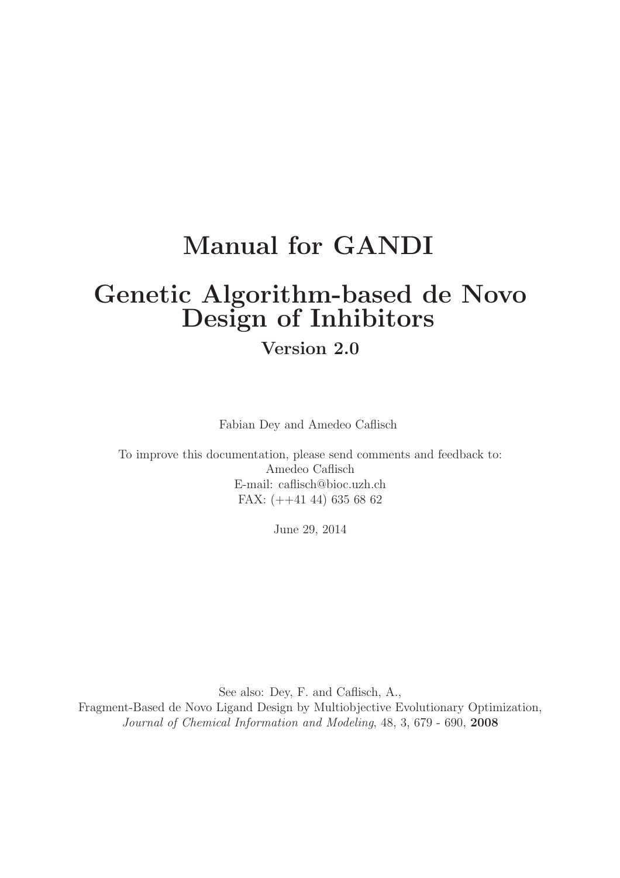# Manual for GANDI

# Genetic Algorithm-based de Novo Design of Inhibitors

# Version 2.0

Fabian Dey and Amedeo Caflisch

To improve this documentation, please send comments and feedback to: Amedeo Caflisch E-mail: caflisch@bioc.uzh.ch FAX: (++41 44) 635 68 62

June 29, 2014

See also: Dey, F. and Caflisch, A., Fragment-Based de Novo Ligand Design by Multiobjective Evolutionary Optimization, Journal of Chemical Information and Modeling, 48, 3, 679 - 690, 2008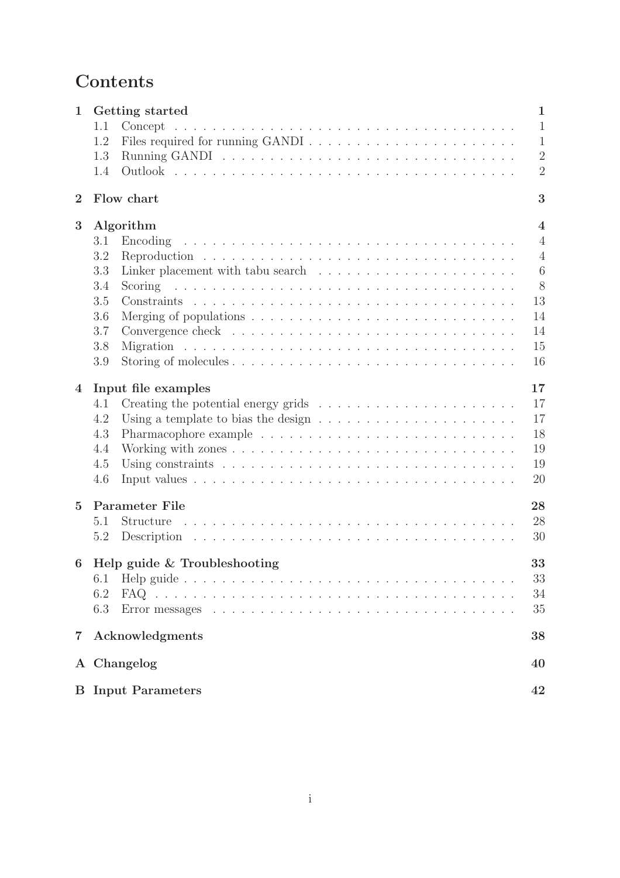# Contents

| $\mathbf{1}$            |                           | Getting started                                                                                                            |  |  |  |  |  |  |    |  |  |  |  |  |  | $\mathbf{1}$            |
|-------------------------|---------------------------|----------------------------------------------------------------------------------------------------------------------------|--|--|--|--|--|--|----|--|--|--|--|--|--|-------------------------|
|                         | 1.1                       |                                                                                                                            |  |  |  |  |  |  |    |  |  |  |  |  |  | $\mathbf{1}$            |
|                         | 1.2                       |                                                                                                                            |  |  |  |  |  |  |    |  |  |  |  |  |  | $\mathbf{1}$            |
|                         | 1.3                       |                                                                                                                            |  |  |  |  |  |  |    |  |  |  |  |  |  | $\overline{2}$          |
|                         | 1.4                       |                                                                                                                            |  |  |  |  |  |  |    |  |  |  |  |  |  | $\overline{2}$          |
| $\overline{2}$          |                           | Flow chart                                                                                                                 |  |  |  |  |  |  |    |  |  |  |  |  |  | 3                       |
| 3                       |                           | Algorithm                                                                                                                  |  |  |  |  |  |  |    |  |  |  |  |  |  | $\overline{\mathbf{4}}$ |
|                         | 3.1                       | Encoding                                                                                                                   |  |  |  |  |  |  |    |  |  |  |  |  |  | $\overline{4}$          |
|                         | 3.2                       |                                                                                                                            |  |  |  |  |  |  |    |  |  |  |  |  |  | $\overline{4}$          |
|                         | 3.3                       |                                                                                                                            |  |  |  |  |  |  |    |  |  |  |  |  |  | 6                       |
|                         | 3.4                       | and a construction of the construction of the construction of the construction of the construction of the const<br>Scoring |  |  |  |  |  |  |    |  |  |  |  |  |  | 8                       |
|                         | 3.5                       |                                                                                                                            |  |  |  |  |  |  |    |  |  |  |  |  |  | 13                      |
|                         | 3.6                       | Merging of populations $\ldots \ldots \ldots \ldots \ldots \ldots \ldots \ldots \ldots \ldots$                             |  |  |  |  |  |  |    |  |  |  |  |  |  | 14                      |
|                         | 3.7                       |                                                                                                                            |  |  |  |  |  |  |    |  |  |  |  |  |  | 14                      |
|                         | 3.8                       |                                                                                                                            |  |  |  |  |  |  |    |  |  |  |  |  |  | 15                      |
|                         | 3.9                       |                                                                                                                            |  |  |  |  |  |  |    |  |  |  |  |  |  | 16                      |
| $\overline{\mathbf{4}}$ |                           | Input file examples                                                                                                        |  |  |  |  |  |  |    |  |  |  |  |  |  | 17                      |
|                         | 4.1                       | Creating the potential energy grids $\ldots \ldots \ldots \ldots \ldots \ldots \ldots$                                     |  |  |  |  |  |  |    |  |  |  |  |  |  | 17                      |
|                         | 4.2                       | Using a template to bias the design $\dots \dots \dots \dots \dots \dots \dots \dots$                                      |  |  |  |  |  |  |    |  |  |  |  |  |  | 17                      |
|                         | 4.3                       |                                                                                                                            |  |  |  |  |  |  |    |  |  |  |  |  |  | 18                      |
|                         | 4.4                       |                                                                                                                            |  |  |  |  |  |  |    |  |  |  |  |  |  | 19                      |
|                         | 4.5                       |                                                                                                                            |  |  |  |  |  |  |    |  |  |  |  |  |  | 19                      |
|                         | 4.6                       |                                                                                                                            |  |  |  |  |  |  |    |  |  |  |  |  |  | 20                      |
| $\overline{5}$          |                           | Parameter File                                                                                                             |  |  |  |  |  |  |    |  |  |  |  |  |  | 28                      |
|                         | 5.1                       | Structure                                                                                                                  |  |  |  |  |  |  |    |  |  |  |  |  |  | 28                      |
|                         | 5.2                       |                                                                                                                            |  |  |  |  |  |  |    |  |  |  |  |  |  | 30                      |
| 6                       |                           | Help guide & Troubleshooting                                                                                               |  |  |  |  |  |  |    |  |  |  |  |  |  | 33                      |
|                         | 6.1                       |                                                                                                                            |  |  |  |  |  |  |    |  |  |  |  |  |  | 33                      |
|                         | 6.2                       |                                                                                                                            |  |  |  |  |  |  |    |  |  |  |  |  |  | 34                      |
|                         | 6.3                       |                                                                                                                            |  |  |  |  |  |  |    |  |  |  |  |  |  | 35                      |
| $\overline{7}$          |                           | Acknowledgments                                                                                                            |  |  |  |  |  |  |    |  |  |  |  |  |  | 38                      |
|                         |                           | A Changelog                                                                                                                |  |  |  |  |  |  |    |  |  |  |  |  |  | 40                      |
|                         | <b>B</b> Input Parameters |                                                                                                                            |  |  |  |  |  |  | 42 |  |  |  |  |  |  |                         |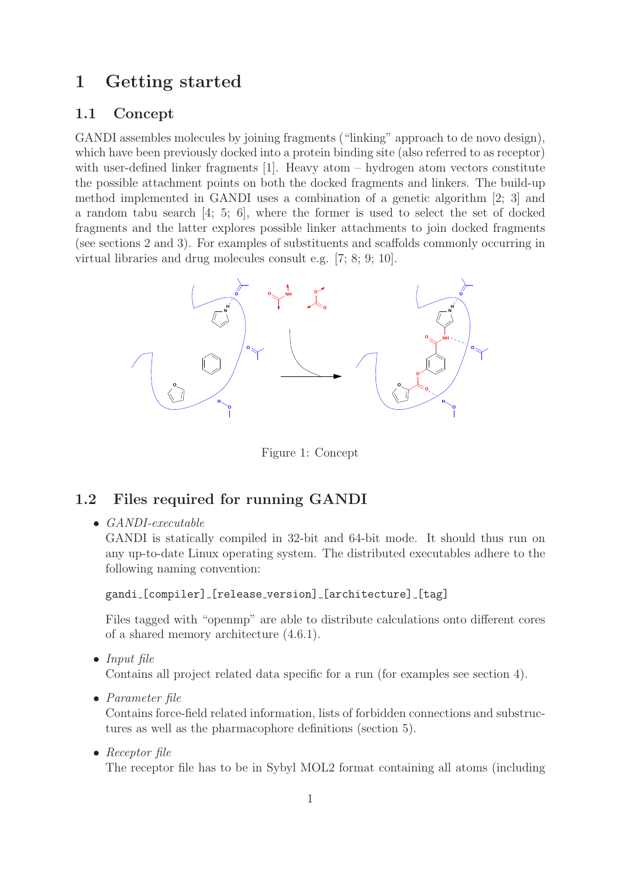# 1 Getting started

### 1.1 Concept

GANDI assembles molecules by joining fragments ("linking" approach to de novo design), which have been previously docked into a protein binding site (also referred to as receptor) with user-defined linker fragments [1]. Heavy atom – hydrogen atom vectors constitute the possible attachment points on both the docked fragments and linkers. The build-up method implemented in GANDI uses a combination of a genetic algorithm [2; 3] and a random tabu search [4; 5; 6], where the former is used to select the set of docked fragments and the latter explores possible linker attachments to join docked fragments (see sections 2 and 3). For examples of substituents and scaffolds commonly occurring in virtual libraries and drug molecules consult e.g. [7; 8; 9; 10].



Figure 1: Concept

## 1.2 Files required for running GANDI

• GANDI-executable

GANDI is statically compiled in 32-bit and 64-bit mode. It should thus run on any up-to-date Linux operating system. The distributed executables adhere to the following naming convention:

gandi [compiler] [release\_version] [architecture] [tag]

Files tagged with "openmp" are able to distribute calculations onto different cores of a shared memory architecture (4.6.1).

• Input file

Contains all project related data specific for a run (for examples see section 4).

• Parameter file

Contains force-field related information, lists of forbidden connections and substructures as well as the pharmacophore definitions (section 5).

• Receptor file

The receptor file has to be in Sybyl MOL2 format containing all atoms (including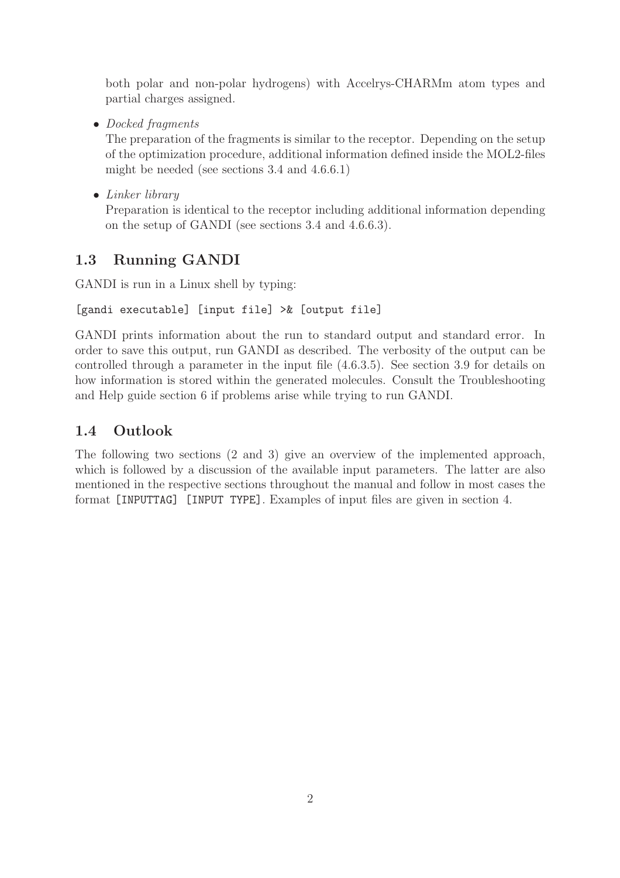both polar and non-polar hydrogens) with Accelrys-CHARMm atom types and partial charges assigned.

• Docked fragments

The preparation of the fragments is similar to the receptor. Depending on the setup of the optimization procedure, additional information defined inside the MOL2-files might be needed (see sections 3.4 and 4.6.6.1)

• Linker library

Preparation is identical to the receptor including additional information depending on the setup of GANDI (see sections 3.4 and 4.6.6.3).

# 1.3 Running GANDI

GANDI is run in a Linux shell by typing:

```
[gandi executable] [input file] >& [output file]
```
GANDI prints information about the run to standard output and standard error. In order to save this output, run GANDI as described. The verbosity of the output can be controlled through a parameter in the input file (4.6.3.5). See section 3.9 for details on how information is stored within the generated molecules. Consult the Troubleshooting and Help guide section 6 if problems arise while trying to run GANDI.

# 1.4 Outlook

The following two sections (2 and 3) give an overview of the implemented approach, which is followed by a discussion of the available input parameters. The latter are also mentioned in the respective sections throughout the manual and follow in most cases the format [INPUTTAG] [INPUT TYPE]. Examples of input files are given in section 4.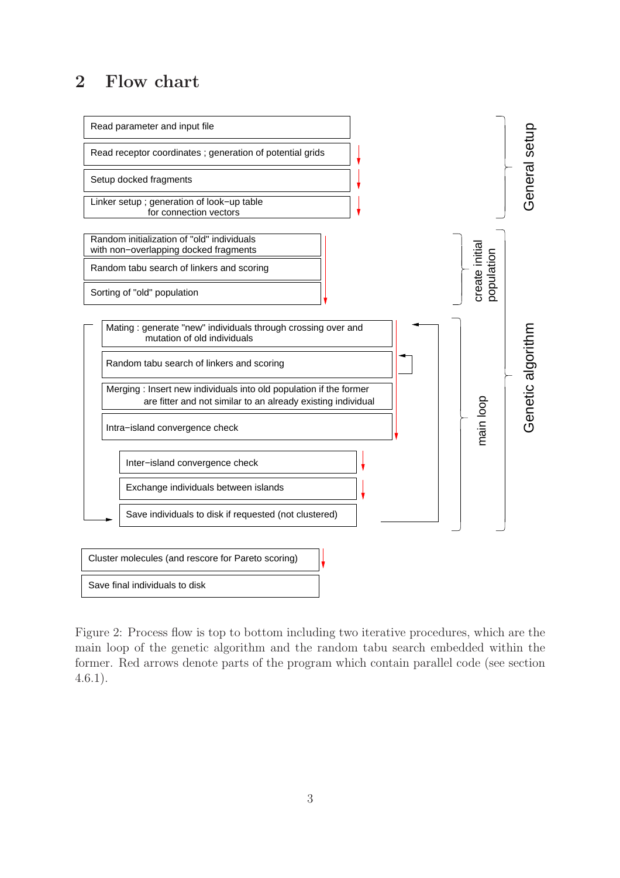# 2 Flow chart



Figure 2: Process flow is top to bottom including two iterative procedures, which are the main loop of the genetic algorithm and the random tabu search embedded within the former. Red arrows denote parts of the program which contain parallel code (see section 4.6.1).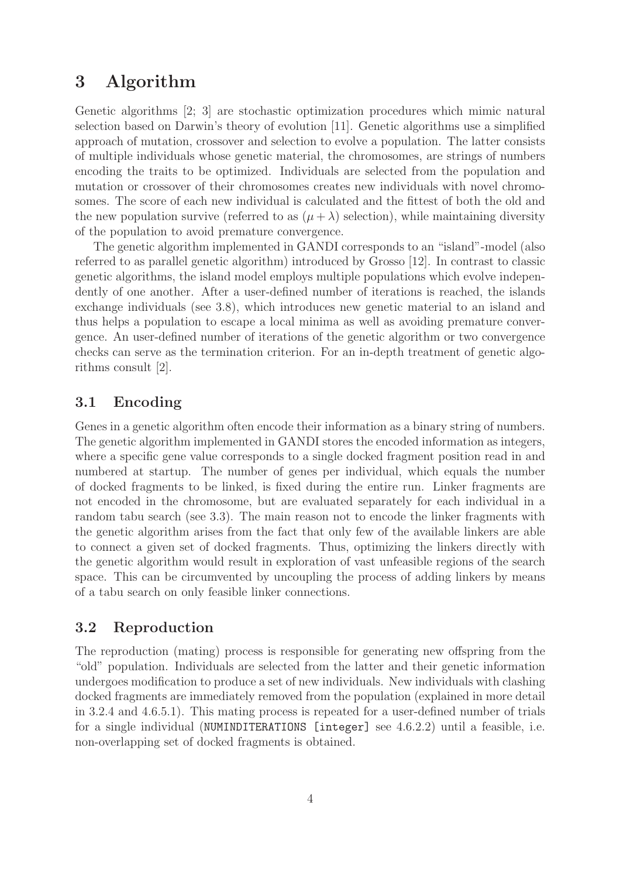# 3 Algorithm

Genetic algorithms [2; 3] are stochastic optimization procedures which mimic natural selection based on Darwin's theory of evolution [11]. Genetic algorithms use a simplified approach of mutation, crossover and selection to evolve a population. The latter consists of multiple individuals whose genetic material, the chromosomes, are strings of numbers encoding the traits to be optimized. Individuals are selected from the population and mutation or crossover of their chromosomes creates new individuals with novel chromosomes. The score of each new individual is calculated and the fittest of both the old and the new population survive (referred to as  $(\mu + \lambda)$  selection), while maintaining diversity of the population to avoid premature convergence.

The genetic algorithm implemented in GANDI corresponds to an "island"-model (also referred to as parallel genetic algorithm) introduced by Grosso [12]. In contrast to classic genetic algorithms, the island model employs multiple populations which evolve independently of one another. After a user-defined number of iterations is reached, the islands exchange individuals (see 3.8), which introduces new genetic material to an island and thus helps a population to escape a local minima as well as avoiding premature convergence. An user-defined number of iterations of the genetic algorithm or two convergence checks can serve as the termination criterion. For an in-depth treatment of genetic algorithms consult [2].

## 3.1 Encoding

Genes in a genetic algorithm often encode their information as a binary string of numbers. The genetic algorithm implemented in GANDI stores the encoded information as integers, where a specific gene value corresponds to a single docked fragment position read in and numbered at startup. The number of genes per individual, which equals the number of docked fragments to be linked, is fixed during the entire run. Linker fragments are not encoded in the chromosome, but are evaluated separately for each individual in a random tabu search (see 3.3). The main reason not to encode the linker fragments with the genetic algorithm arises from the fact that only few of the available linkers are able to connect a given set of docked fragments. Thus, optimizing the linkers directly with the genetic algorithm would result in exploration of vast unfeasible regions of the search space. This can be circumvented by uncoupling the process of adding linkers by means of a tabu search on only feasible linker connections.

#### 3.2 Reproduction

The reproduction (mating) process is responsible for generating new offspring from the "old" population. Individuals are selected from the latter and their genetic information undergoes modification to produce a set of new individuals. New individuals with clashing docked fragments are immediately removed from the population (explained in more detail in 3.2.4 and 4.6.5.1). This mating process is repeated for a user-defined number of trials for a single individual (NUMINDITERATIONS [integer] see 4.6.2.2) until a feasible, i.e. non-overlapping set of docked fragments is obtained.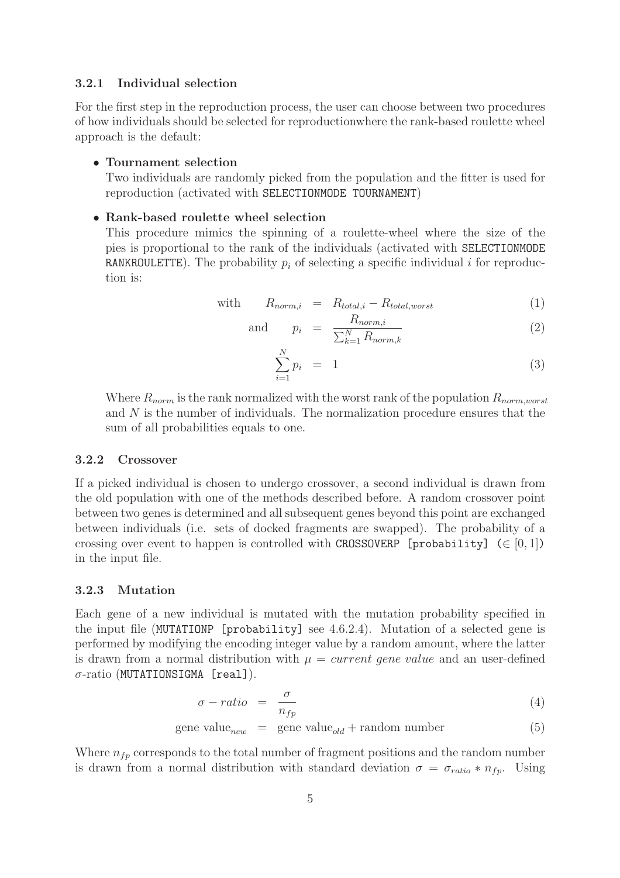#### 3.2.1 Individual selection

For the first step in the reproduction process, the user can choose between two procedures of how individuals should be selected for reproductionwhere the rank-based roulette wheel approach is the default:

#### • Tournament selection

Two individuals are randomly picked from the population and the fitter is used for reproduction (activated with SELECTIONMODE TOURNAMENT)

#### • Rank-based roulette wheel selection

This procedure mimics the spinning of a roulette-wheel where the size of the pies is proportional to the rank of the individuals (activated with SELECTIONMODE RANKROULETTE). The probability  $p_i$  of selecting a specific individual i for reproduction is:

with 
$$
R_{norm,i} = R_{total,i} - R_{total,worst}
$$
 (1)

and 
$$
p_i = \frac{R_{norm,i}}{\sum_{k=1}^{N} R_{norm,k}}
$$
 (2)

$$
\sum_{i=1}^{N} p_i = 1 \tag{3}
$$

Where  $R_{norm}$  is the rank normalized with the worst rank of the population  $R_{norm, worst}$ and N is the number of individuals. The normalization procedure ensures that the sum of all probabilities equals to one.

#### 3.2.2 Crossover

If a picked individual is chosen to undergo crossover, a second individual is drawn from the old population with one of the methods described before. A random crossover point between two genes is determined and all subsequent genes beyond this point are exchanged between individuals (i.e. sets of docked fragments are swapped). The probability of a crossing over event to happen is controlled with CROSSOVERP [probability] ( $\in [0,1]$ ) in the input file.

#### 3.2.3 Mutation

Each gene of a new individual is mutated with the mutation probability specified in the input file (MUTATIONP [probability] see 4.6.2.4). Mutation of a selected gene is performed by modifying the encoding integer value by a random amount, where the latter is drawn from a normal distribution with  $\mu = current$  gene value and an user-defined  $\sigma$ -ratio (MUTATIONSIGMA [real]).

$$
\sigma - ratio = \frac{\sigma}{n_{fp}} \tag{4}
$$

$$
gene value_{new} = gene value_{old} + random number
$$
 (5)

Where  $n_{fp}$  corresponds to the total number of fragment positions and the random number is drawn from a normal distribution with standard deviation  $\sigma = \sigma_{ratio} * n_{fp}$ . Using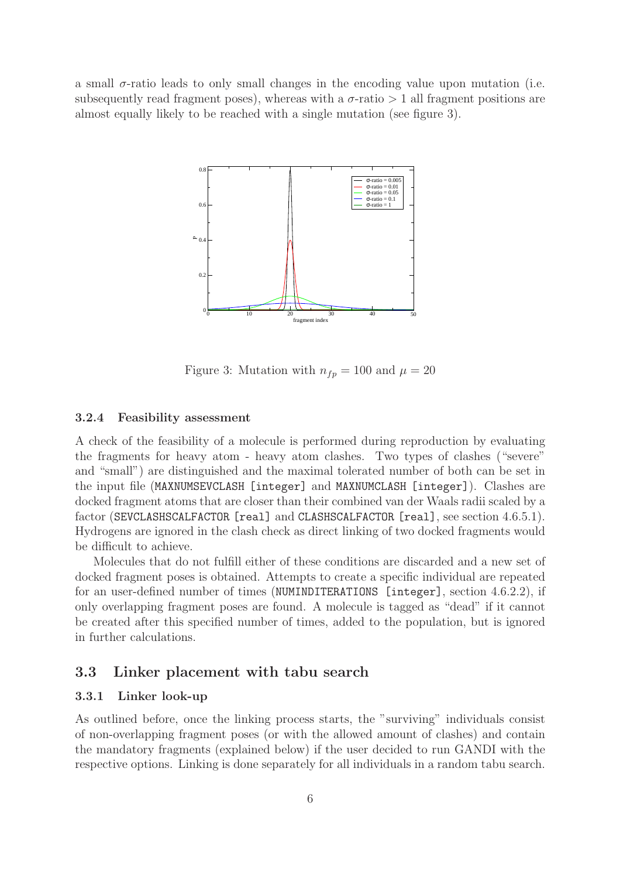a small  $\sigma$ -ratio leads to only small changes in the encoding value upon mutation (i.e. subsequently read fragment poses), whereas with a  $\sigma$ -ratio  $> 1$  all fragment positions are almost equally likely to be reached with a single mutation (see figure 3).



Figure 3: Mutation with  $n_{fp} = 100$  and  $\mu = 20$ 

#### 3.2.4 Feasibility assessment

A check of the feasibility of a molecule is performed during reproduction by evaluating the fragments for heavy atom - heavy atom clashes. Two types of clashes ("severe" and "small") are distinguished and the maximal tolerated number of both can be set in the input file (MAXNUMSEVCLASH [integer] and MAXNUMCLASH [integer]). Clashes are docked fragment atoms that are closer than their combined van der Waals radii scaled by a factor (SEVCLASHSCALFACTOR [real] and CLASHSCALFACTOR [real], see section 4.6.5.1). Hydrogens are ignored in the clash check as direct linking of two docked fragments would be difficult to achieve.

Molecules that do not fulfill either of these conditions are discarded and a new set of docked fragment poses is obtained. Attempts to create a specific individual are repeated for an user-defined number of times (NUMINDITERATIONS [integer], section 4.6.2.2), if only overlapping fragment poses are found. A molecule is tagged as "dead" if it cannot be created after this specified number of times, added to the population, but is ignored in further calculations.

#### 3.3 Linker placement with tabu search

#### 3.3.1 Linker look-up

As outlined before, once the linking process starts, the "surviving" individuals consist of non-overlapping fragment poses (or with the allowed amount of clashes) and contain the mandatory fragments (explained below) if the user decided to run GANDI with the respective options. Linking is done separately for all individuals in a random tabu search.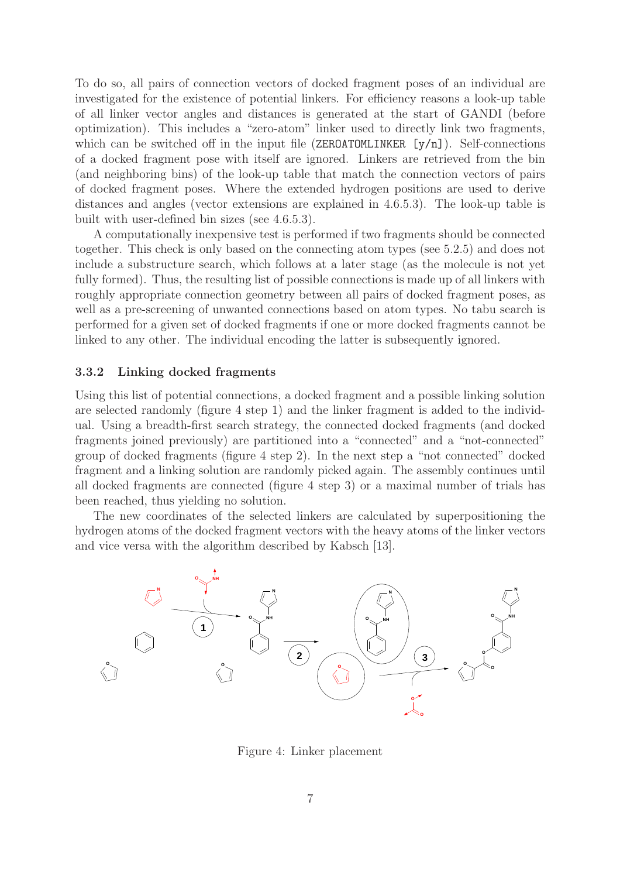To do so, all pairs of connection vectors of docked fragment poses of an individual are investigated for the existence of potential linkers. For efficiency reasons a look-up table of all linker vector angles and distances is generated at the start of GANDI (before optimization). This includes a "zero-atom" linker used to directly link two fragments, which can be switched off in the input file (ZEROATOMLINKER  $[y/n]$ ). Self-connections of a docked fragment pose with itself are ignored. Linkers are retrieved from the bin (and neighboring bins) of the look-up table that match the connection vectors of pairs of docked fragment poses. Where the extended hydrogen positions are used to derive distances and angles (vector extensions are explained in 4.6.5.3). The look-up table is built with user-defined bin sizes (see 4.6.5.3).

A computationally inexpensive test is performed if two fragments should be connected together. This check is only based on the connecting atom types (see 5.2.5) and does not include a substructure search, which follows at a later stage (as the molecule is not yet fully formed). Thus, the resulting list of possible connections is made up of all linkers with roughly appropriate connection geometry between all pairs of docked fragment poses, as well as a pre-screening of unwanted connections based on atom types. No tabu search is performed for a given set of docked fragments if one or more docked fragments cannot be linked to any other. The individual encoding the latter is subsequently ignored.

#### 3.3.2 Linking docked fragments

Using this list of potential connections, a docked fragment and a possible linking solution are selected randomly (figure 4 step 1) and the linker fragment is added to the individual. Using a breadth-first search strategy, the connected docked fragments (and docked fragments joined previously) are partitioned into a "connected" and a "not-connected" group of docked fragments (figure 4 step 2). In the next step a "not connected" docked fragment and a linking solution are randomly picked again. The assembly continues until all docked fragments are connected (figure 4 step 3) or a maximal number of trials has been reached, thus yielding no solution.

The new coordinates of the selected linkers are calculated by superpositioning the hydrogen atoms of the docked fragment vectors with the heavy atoms of the linker vectors and vice versa with the algorithm described by Kabsch [13].



Figure 4: Linker placement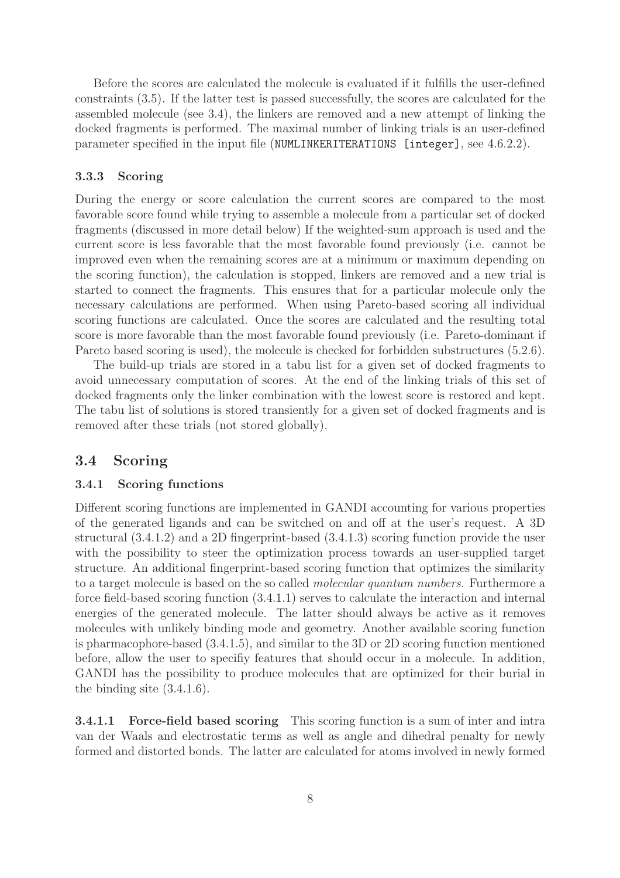Before the scores are calculated the molecule is evaluated if it fulfills the user-defined constraints (3.5). If the latter test is passed successfully, the scores are calculated for the assembled molecule (see 3.4), the linkers are removed and a new attempt of linking the docked fragments is performed. The maximal number of linking trials is an user-defined parameter specified in the input file (NUMLINKERITERATIONS [integer], see 4.6.2.2).

#### 3.3.3 Scoring

During the energy or score calculation the current scores are compared to the most favorable score found while trying to assemble a molecule from a particular set of docked fragments (discussed in more detail below) If the weighted-sum approach is used and the current score is less favorable that the most favorable found previously (i.e. cannot be improved even when the remaining scores are at a minimum or maximum depending on the scoring function), the calculation is stopped, linkers are removed and a new trial is started to connect the fragments. This ensures that for a particular molecule only the necessary calculations are performed. When using Pareto-based scoring all individual scoring functions are calculated. Once the scores are calculated and the resulting total score is more favorable than the most favorable found previously (i.e. Pareto-dominant if Pareto based scoring is used), the molecule is checked for forbidden substructures (5.2.6).

The build-up trials are stored in a tabu list for a given set of docked fragments to avoid unnecessary computation of scores. At the end of the linking trials of this set of docked fragments only the linker combination with the lowest score is restored and kept. The tabu list of solutions is stored transiently for a given set of docked fragments and is removed after these trials (not stored globally).

### 3.4 Scoring

#### 3.4.1 Scoring functions

Different scoring functions are implemented in GANDI accounting for various properties of the generated ligands and can be switched on and off at the user's request. A 3D structural (3.4.1.2) and a 2D fingerprint-based (3.4.1.3) scoring function provide the user with the possibility to steer the optimization process towards an user-supplied target structure. An additional fingerprint-based scoring function that optimizes the similarity to a target molecule is based on the so called *molecular quantum numbers*. Furthermore a force field-based scoring function (3.4.1.1) serves to calculate the interaction and internal energies of the generated molecule. The latter should always be active as it removes molecules with unlikely binding mode and geometry. Another available scoring function is pharmacophore-based (3.4.1.5), and similar to the 3D or 2D scoring function mentioned before, allow the user to specifiy features that should occur in a molecule. In addition, GANDI has the possibility to produce molecules that are optimized for their burial in the binding site (3.4.1.6).

3.4.1.1 Force-field based scoring This scoring function is a sum of inter and intra van der Waals and electrostatic terms as well as angle and dihedral penalty for newly formed and distorted bonds. The latter are calculated for atoms involved in newly formed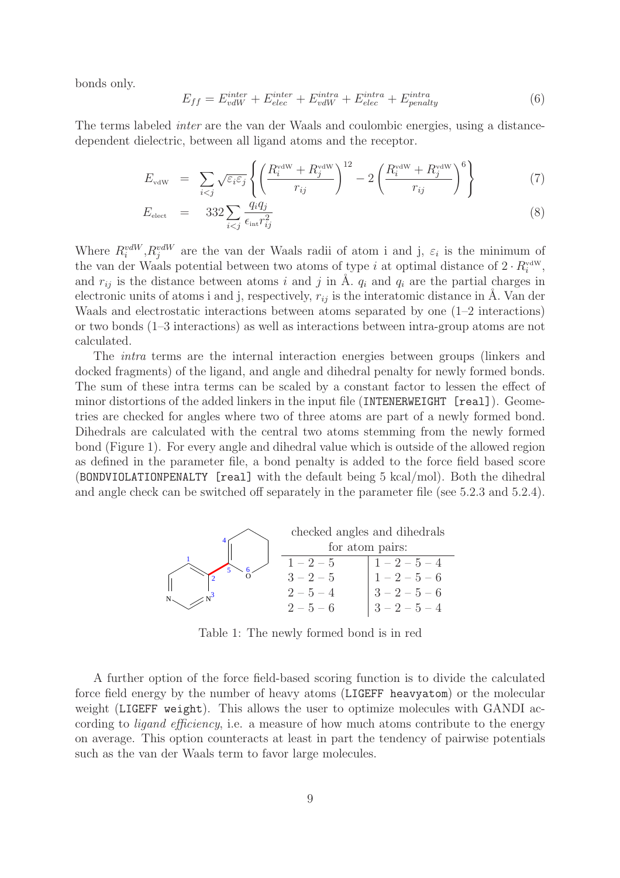bonds only.

$$
E_{ff} = E_{vdW}^{inter} + E_{elec}^{inter} + E_{vdW}^{intra} + E_{elec}^{intra} + E_{penalty}^{intra}
$$
(6)

The terms labeled inter are the van der Waals and coulombic energies, using a distancedependent dielectric, between all ligand atoms and the receptor.

$$
E_{\text{vdW}} = \sum_{i < j} \sqrt{\varepsilon_i \varepsilon_j} \left\{ \left( \frac{R_i^{\text{vdW}} + R_j^{\text{vdW}}}{r_{ij}} \right)^{12} - 2 \left( \frac{R_i^{\text{vdW}} + R_j^{\text{vdW}}}{r_{ij}} \right)^6 \right\} \tag{7}
$$

$$
E_{\text{elect}} = 332 \sum_{i < j} \frac{q_i q_j}{\epsilon_{\text{int}} r_{ij}^2} \tag{8}
$$

Where  $R_i^{vdW}, R_j^{vdW}$  are the van der Waals radii of atom i and j,  $\varepsilon_i$  is the minimum of the van der Waals potential between two atoms of type i at optimal distance of  $2 \cdot R_i^{\text{vdW}}$ , and  $r_{ij}$  is the distance between atoms i and j in Å.  $q_i$  and  $q_i$  are the partial charges in electronic units of atoms i and j, respectively,  $r_{ij}$  is the interatomic distance in  $\AA$ . Van der Waals and electrostatic interactions between atoms separated by one  $(1-2$  interactions) or two bonds (1–3 interactions) as well as interactions between intra-group atoms are not calculated.

The intra terms are the internal interaction energies between groups (linkers and docked fragments) of the ligand, and angle and dihedral penalty for newly formed bonds. The sum of these intra terms can be scaled by a constant factor to lessen the effect of minor distortions of the added linkers in the input file (INTENERWEIGHT [real]). Geometries are checked for angles where two of three atoms are part of a newly formed bond. Dihedrals are calculated with the central two atoms stemming from the newly formed bond (Figure 1). For every angle and dihedral value which is outside of the allowed region as defined in the parameter file, a bond penalty is added to the force field based score (BONDVIOLATIONPENALTY [real] with the default being 5 kcal/mol). Both the dihedral and angle check can be switched off separately in the parameter file (see 5.2.3 and 5.2.4).



Table 1: The newly formed bond is in red

A further option of the force field-based scoring function is to divide the calculated force field energy by the number of heavy atoms (LIGEFF heavyatom) or the molecular weight (LIGEFF weight). This allows the user to optimize molecules with GANDI according to *ligand efficiency*, i.e. a measure of how much atoms contribute to the energy on average. This option counteracts at least in part the tendency of pairwise potentials such as the van der Waals term to favor large molecules.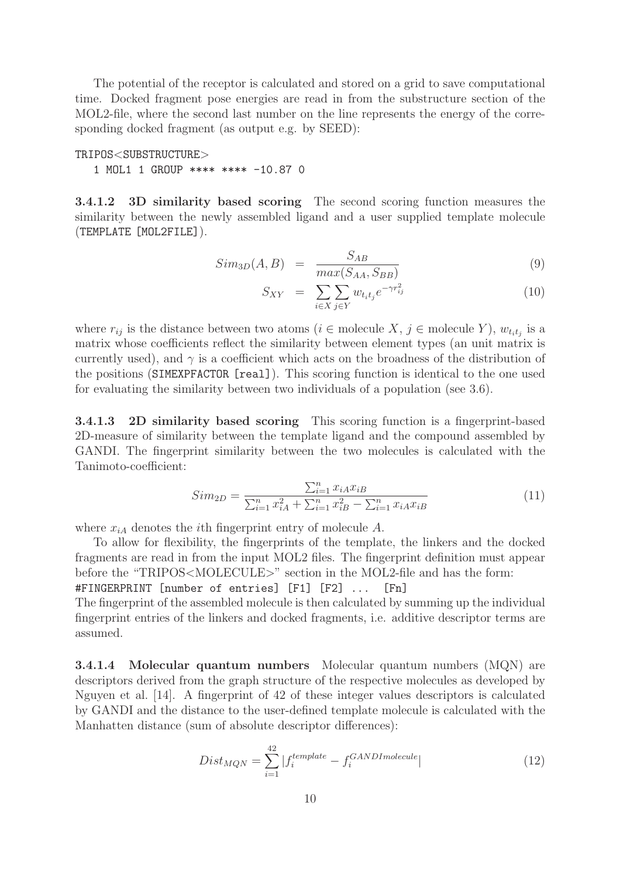The potential of the receptor is calculated and stored on a grid to save computational time. Docked fragment pose energies are read in from the substructure section of the MOL2-file, where the second last number on the line represents the energy of the corresponding docked fragment (as output e.g. by SEED):

#### TRIPOS<SUBSTRUCTURE>

1 MOL1 1 GROUP \*\*\*\* \*\*\*\* -10.87 0

3.4.1.2 3D similarity based scoring The second scoring function measures the similarity between the newly assembled ligand and a user supplied template molecule (TEMPLATE [MOL2FILE]).

$$
Sim_{3D}(A, B) = \frac{S_{AB}}{max(S_{AA}, S_{BB})}
$$
\n(9)

$$
S_{XY} = \sum_{i \in X} \sum_{j \in Y} w_{t_i t_j} e^{-\gamma r_{ij}^2}
$$
\n
$$
(10)
$$

where  $r_{ij}$  is the distance between two atoms  $(i \in \text{molecule } X, j \in \text{molecule } Y), w_{t_i t_j}$  is a matrix whose coefficients reflect the similarity between element types (an unit matrix is currently used), and  $\gamma$  is a coefficient which acts on the broadness of the distribution of the positions (SIMEXPFACTOR [real]). This scoring function is identical to the one used for evaluating the similarity between two individuals of a population (see 3.6).

3.4.1.3 2D similarity based scoring This scoring function is a fingerprint-based 2D-measure of similarity between the template ligand and the compound assembled by GANDI. The fingerprint similarity between the two molecules is calculated with the Tanimoto-coefficient:

$$
Sim_{2D} = \frac{\sum_{i=1}^{n} x_{iA} x_{iB}}{\sum_{i=1}^{n} x_{iA}^2 + \sum_{i=1}^{n} x_{iB}^2 - \sum_{i=1}^{n} x_{iA} x_{iB}}
$$
(11)

where  $x_{iA}$  denotes the *i*th fingerprint entry of molecule A.

To allow for flexibility, the fingerprints of the template, the linkers and the docked fragments are read in from the input MOL2 files. The fingerprint definition must appear before the "TRIPOS<MOLECULE>" section in the MOL2-file and has the form:

#FINGERPRINT [number of entries] [F1] [F2] ... [Fn]

The fingerprint of the assembled molecule is then calculated by summing up the individual fingerprint entries of the linkers and docked fragments, i.e. additive descriptor terms are assumed.

3.4.1.4 Molecular quantum numbers Molecular quantum numbers (MQN) are descriptors derived from the graph structure of the respective molecules as developed by Nguyen et al. [14]. A fingerprint of 42 of these integer values descriptors is calculated by GANDI and the distance to the user-defined template molecule is calculated with the Manhatten distance (sum of absolute descriptor differences):

$$
Dist_{MQN} = \sum_{i=1}^{42} |f_i^{template} - f_i^{GANDImolecule}| \qquad (12)
$$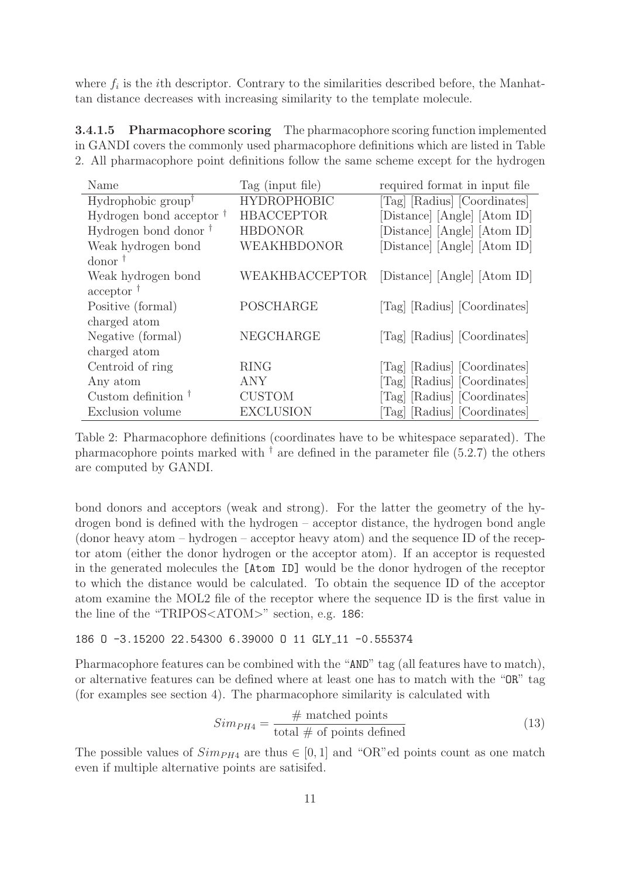where  $f_i$  is the *i*th descriptor. Contrary to the similarities described before, the Manhattan distance decreases with increasing similarity to the template molecule.

3.4.1.5 Pharmacophore scoring The pharmacophore scoring function implemented in GANDI covers the commonly used pharmacophore definitions which are listed in Table 2. All pharmacophore point definitions follow the same scheme except for the hydrogen

| Name                             | Tag (input file)   | required format in input file |
|----------------------------------|--------------------|-------------------------------|
| Hydrophobic group <sup>†</sup>   | <b>HYDROPHOBIC</b> | [Tag] [Radius] [Coordinates]  |
| Hydrogen bond acceptor $\dagger$ | <b>HBACCEPTOR</b>  | [Distance] [Angle] [Atom ID]  |
| Hydrogen bond donor $^{\dagger}$ | <b>HBDONOR</b>     | [Distance] [Angle] [Atom ID]  |
| Weak hydrogen bond               | WEAKHBDONOR        | [Distance] [Angle] [Atom ID]  |
| $\gamma$ donor $\gamma$          |                    |                               |
| Weak hydrogen bond               | WEAKHBACCEPTOR     | [Distance] [Angle] [Atom ID]  |
| $acceptor$ <sup>†</sup>          |                    |                               |
| Positive (formal)                | POSCHARGE          | [Tag] [Radius] [Coordinates]  |
| charged atom                     |                    |                               |
| Negative (formal)                | NEGCHARGE          | [Tag] [Radius] [Coordinates]  |
| charged atom                     |                    |                               |
| Centroid of ring                 | <b>RING</b>        | [Tag] [Radius] [Coordinates]  |
| Any atom                         | ANY                | [Tag] [Radius] [Coordinates]  |
| Custom definition $\dagger$      | <b>CUSTOM</b>      | [Tag] [Radius] [Coordinates]  |
| Exclusion volume                 | <b>EXCLUSION</b>   | [Tag] [Radius] [Coordinates]  |

Table 2: Pharmacophore definitions (coordinates have to be whitespace separated). The pharmacophore points marked with  $^{\dagger}$  are defined in the parameter file (5.2.7) the others are computed by GANDI.

bond donors and acceptors (weak and strong). For the latter the geometry of the hydrogen bond is defined with the hydrogen – acceptor distance, the hydrogen bond angle (donor heavy atom – hydrogen – acceptor heavy atom) and the sequence ID of the receptor atom (either the donor hydrogen or the acceptor atom). If an acceptor is requested in the generated molecules the [Atom ID] would be the donor hydrogen of the receptor to which the distance would be calculated. To obtain the sequence ID of the acceptor atom examine the MOL2 file of the receptor where the sequence ID is the first value in the line of the "TRIPOS<ATOM>" section, e.g. 186:

#### 186 O -3.15200 22.54300 6.39000 O 11 GLY 11 -0.555374

Pharmacophore features can be combined with the "AND" tag (all features have to match), or alternative features can be defined where at least one has to match with the "OR" tag (for examples see section 4). The pharmacophore similarity is calculated with

$$
Sim_{PH4} = \frac{\# \text{ matched points}}{\text{total } \# \text{ of points defined}} \tag{13}
$$

The possible values of  $Simp_{H4}$  are thus  $\in [0,1]$  and "OR"ed points count as one match even if multiple alternative points are satisifed.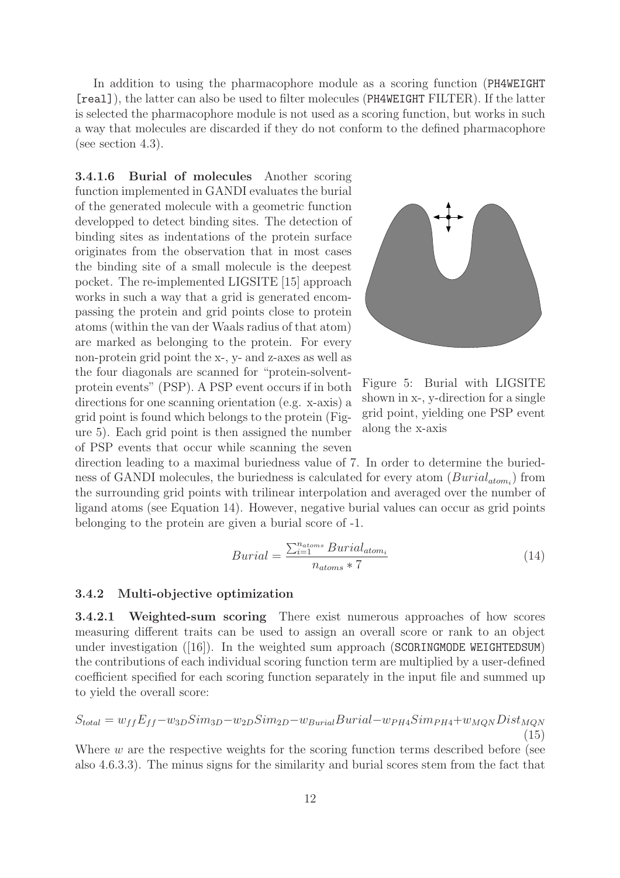In addition to using the pharmacophore module as a scoring function (PH4WEIGHT [real]), the latter can also be used to filter molecules (PH4WEIGHT FILTER). If the latter is selected the pharmacophore module is not used as a scoring function, but works in such a way that molecules are discarded if they do not conform to the defined pharmacophore (see section 4.3).

3.4.1.6 Burial of molecules Another scoring function implemented in GANDI evaluates the burial of the generated molecule with a geometric function developped to detect binding sites. The detection of binding sites as indentations of the protein surface originates from the observation that in most cases the binding site of a small molecule is the deepest pocket. The re-implemented LIGSITE [15] approach works in such a way that a grid is generated encompassing the protein and grid points close to protein atoms (within the van der Waals radius of that atom) are marked as belonging to the protein. For every non-protein grid point the x-, y- and z-axes as well as the four diagonals are scanned for "protein-solventprotein events" (PSP). A PSP event occurs if in both directions for one scanning orientation (e.g. x-axis) a grid point is found which belongs to the protein (Figure 5). Each grid point is then assigned the number of PSP events that occur while scanning the seven



Figure 5: Burial with LIGSITE shown in x-, y-direction for a single grid point, yielding one PSP event along the x-axis

direction leading to a maximal buriedness value of 7. In order to determine the buriedness of GANDI molecules, the buriedness is calculated for every atom  $(Burial_{atom_i})$  from the surrounding grid points with trilinear interpolation and averaged over the number of ligand atoms (see Equation 14). However, negative burial values can occur as grid points belonging to the protein are given a burial score of -1.

$$
Burial = \frac{\sum_{i=1}^{n_{atoms}} Burial_{atom_i}}{n_{atoms} \times 7}
$$
\n(14)

#### 3.4.2 Multi-objective optimization

3.4.2.1 Weighted-sum scoring There exist numerous approaches of how scores measuring different traits can be used to assign an overall score or rank to an object under investigation  $([16])$ . In the weighted sum approach (SCORINGMODE WEIGHTEDSUM) the contributions of each individual scoring function term are multiplied by a user-defined coefficient specified for each scoring function separately in the input file and summed up to yield the overall score:

$$
S_{total} = w_{ff}E_{ff} - w_{3D}Sim_{3D} - w_{2D}Sim_{2D} - w_{Burial} Burial - w_{PH4} Sim_{PH4} + w_{MQN} Dist_{MQN}
$$
\n(15)

Where  $w$  are the respective weights for the scoring function terms described before (see also 4.6.3.3). The minus signs for the similarity and burial scores stem from the fact that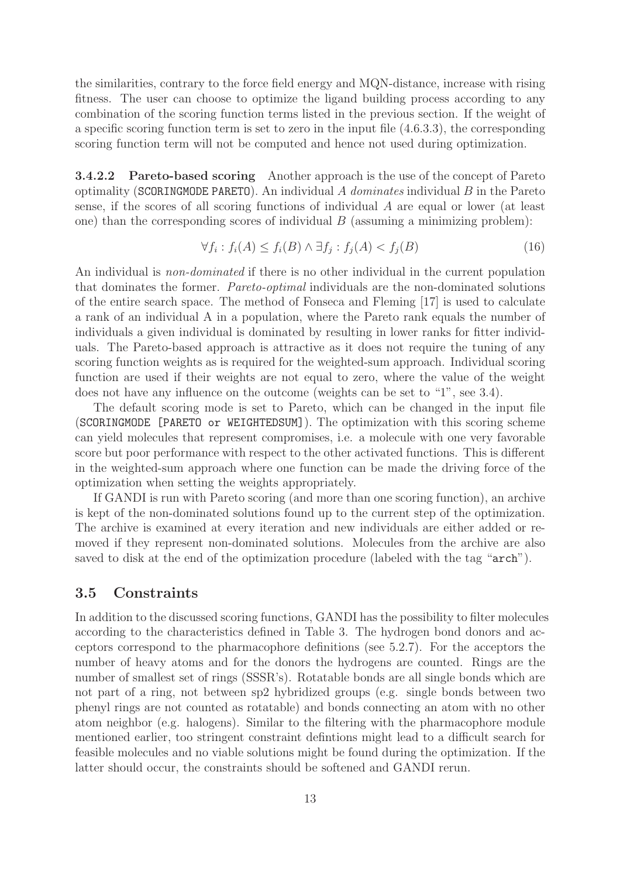the similarities, contrary to the force field energy and MQN-distance, increase with rising fitness. The user can choose to optimize the ligand building process according to any combination of the scoring function terms listed in the previous section. If the weight of a specific scoring function term is set to zero in the input file (4.6.3.3), the corresponding scoring function term will not be computed and hence not used during optimization.

3.4.2.2 Pareto-based scoring Another approach is the use of the concept of Pareto optimality (SCORINGMODE PARETO). An individual  $A$  dominates individual  $B$  in the Pareto sense, if the scores of all scoring functions of individual A are equal or lower (at least one) than the corresponding scores of individual  $B$  (assuming a minimizing problem):

$$
\forall f_i : f_i(A) \le f_i(B) \land \exists f_j : f_j(A) < f_j(B) \tag{16}
$$

An individual is *non-dominated* if there is no other individual in the current population that dominates the former. Pareto-optimal individuals are the non-dominated solutions of the entire search space. The method of Fonseca and Fleming [17] is used to calculate a rank of an individual A in a population, where the Pareto rank equals the number of individuals a given individual is dominated by resulting in lower ranks for fitter individuals. The Pareto-based approach is attractive as it does not require the tuning of any scoring function weights as is required for the weighted-sum approach. Individual scoring function are used if their weights are not equal to zero, where the value of the weight does not have any influence on the outcome (weights can be set to "1", see 3.4).

The default scoring mode is set to Pareto, which can be changed in the input file (SCORINGMODE [PARETO or WEIGHTEDSUM]). The optimization with this scoring scheme can yield molecules that represent compromises, i.e. a molecule with one very favorable score but poor performance with respect to the other activated functions. This is different in the weighted-sum approach where one function can be made the driving force of the optimization when setting the weights appropriately.

If GANDI is run with Pareto scoring (and more than one scoring function), an archive is kept of the non-dominated solutions found up to the current step of the optimization. The archive is examined at every iteration and new individuals are either added or removed if they represent non-dominated solutions. Molecules from the archive are also saved to disk at the end of the optimization procedure (labeled with the tag "arch").

#### 3.5 Constraints

In addition to the discussed scoring functions, GANDI has the possibility to filter molecules according to the characteristics defined in Table 3. The hydrogen bond donors and acceptors correspond to the pharmacophore definitions (see 5.2.7). For the acceptors the number of heavy atoms and for the donors the hydrogens are counted. Rings are the number of smallest set of rings (SSSR's). Rotatable bonds are all single bonds which are not part of a ring, not between sp2 hybridized groups (e.g. single bonds between two phenyl rings are not counted as rotatable) and bonds connecting an atom with no other atom neighbor (e.g. halogens). Similar to the filtering with the pharmacophore module mentioned earlier, too stringent constraint defintions might lead to a difficult search for feasible molecules and no viable solutions might be found during the optimization. If the latter should occur, the constraints should be softened and GANDI rerun.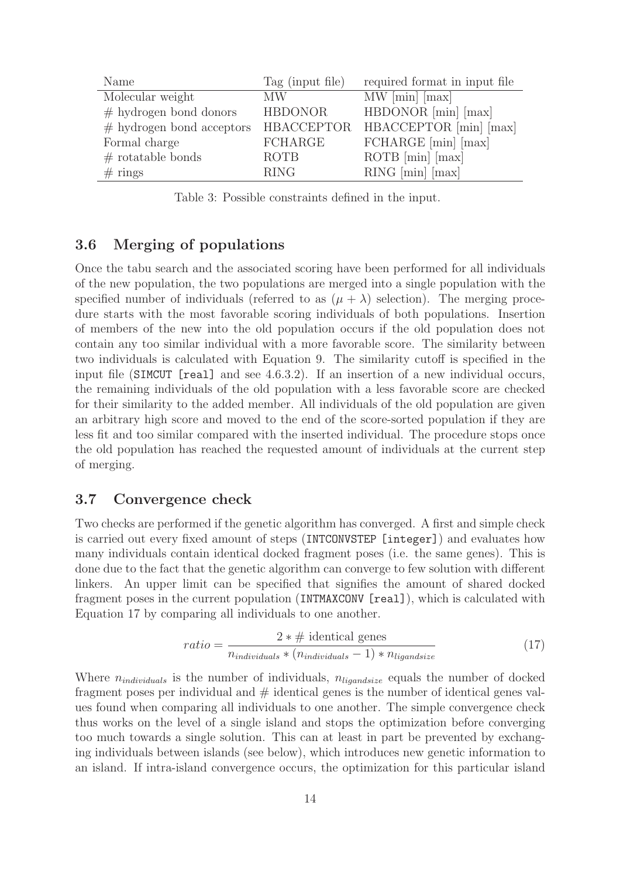| Name                        | Tag (input file) | required format in input file |
|-----------------------------|------------------|-------------------------------|
| Molecular weight            | <b>MW</b>        | $MW$ [min] [max]              |
| $#$ hydrogen bond donors    | <b>HBDONOR</b>   | HBDONOR [min] [max]           |
| $#$ hydrogen bond acceptors | HBACCEPTOR       | HBACCEPTOR [min] [max]        |
| Formal charge               | <b>FCHARGE</b>   | FCHARGE [min] [max]           |
| $#$ rotatable bonds         | ROTB             | $ROTB$ [min] [max]            |
| $#$ rings                   | <b>RING</b>      | $RING$ [min] [max]            |

Table 3: Possible constraints defined in the input.

## 3.6 Merging of populations

Once the tabu search and the associated scoring have been performed for all individuals of the new population, the two populations are merged into a single population with the specified number of individuals (referred to as  $(\mu + \lambda)$  selection). The merging procedure starts with the most favorable scoring individuals of both populations. Insertion of members of the new into the old population occurs if the old population does not contain any too similar individual with a more favorable score. The similarity between two individuals is calculated with Equation 9. The similarity cutoff is specified in the input file (SIMCUT [real] and see 4.6.3.2). If an insertion of a new individual occurs, the remaining individuals of the old population with a less favorable score are checked for their similarity to the added member. All individuals of the old population are given an arbitrary high score and moved to the end of the score-sorted population if they are less fit and too similar compared with the inserted individual. The procedure stops once the old population has reached the requested amount of individuals at the current step of merging.

#### 3.7 Convergence check

Two checks are performed if the genetic algorithm has converged. A first and simple check is carried out every fixed amount of steps (INTCONVSTEP [integer]) and evaluates how many individuals contain identical docked fragment poses (i.e. the same genes). This is done due to the fact that the genetic algorithm can converge to few solution with different linkers. An upper limit can be specified that signifies the amount of shared docked fragment poses in the current population (INTMAXCONV [real]), which is calculated with Equation 17 by comparing all individuals to one another.

$$
ratio = \frac{2 * \# \text{ identical genes}}{n_{individuals} * (n_{individuals} - 1) * n_{ligandsize}} \tag{17}
$$

Where  $n_{individuals}$  is the number of individuals,  $n_{liqandsize}$  equals the number of docked fragment poses per individual and  $\#$  identical genes is the number of identical genes values found when comparing all individuals to one another. The simple convergence check thus works on the level of a single island and stops the optimization before converging too much towards a single solution. This can at least in part be prevented by exchanging individuals between islands (see below), which introduces new genetic information to an island. If intra-island convergence occurs, the optimization for this particular island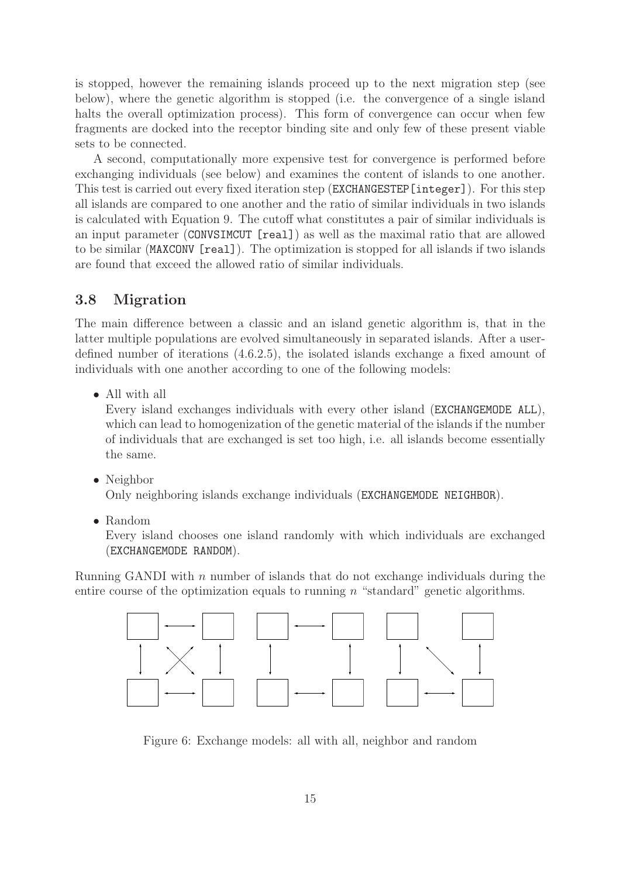is stopped, however the remaining islands proceed up to the next migration step (see below), where the genetic algorithm is stopped (i.e. the convergence of a single island halts the overall optimization process). This form of convergence can occur when few fragments are docked into the receptor binding site and only few of these present viable sets to be connected.

A second, computationally more expensive test for convergence is performed before exchanging individuals (see below) and examines the content of islands to one another. This test is carried out every fixed iteration step (EXCHANGESTEP[integer]). For this step all islands are compared to one another and the ratio of similar individuals in two islands is calculated with Equation 9. The cutoff what constitutes a pair of similar individuals is an input parameter (CONVSIMCUT [real]) as well as the maximal ratio that are allowed to be similar (MAXCONV [real]). The optimization is stopped for all islands if two islands are found that exceed the allowed ratio of similar individuals.

## 3.8 Migration

The main difference between a classic and an island genetic algorithm is, that in the latter multiple populations are evolved simultaneously in separated islands. After a userdefined number of iterations (4.6.2.5), the isolated islands exchange a fixed amount of individuals with one another according to one of the following models:

• All with all

Every island exchanges individuals with every other island (EXCHANGEMODE ALL), which can lead to homogenization of the genetic material of the islands if the number of individuals that are exchanged is set too high, i.e. all islands become essentially the same.

• Neighbor

Only neighboring islands exchange individuals (EXCHANGEMODE NEIGHBOR).

• Random

Every island chooses one island randomly with which individuals are exchanged (EXCHANGEMODE RANDOM).

Running GANDI with  $n$  number of islands that do not exchange individuals during the entire course of the optimization equals to running  $n$  "standard" genetic algorithms.



Figure 6: Exchange models: all with all, neighbor and random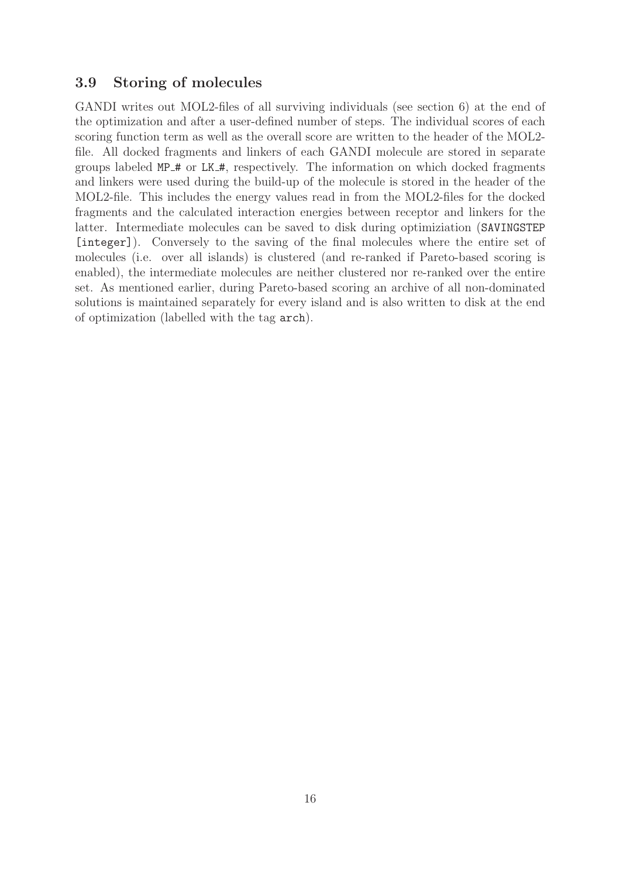## 3.9 Storing of molecules

GANDI writes out MOL2-files of all surviving individuals (see section 6) at the end of the optimization and after a user-defined number of steps. The individual scores of each scoring function term as well as the overall score are written to the header of the MOL2 file. All docked fragments and linkers of each GANDI molecule are stored in separate groups labeled MP # or LK #, respectively. The information on which docked fragments and linkers were used during the build-up of the molecule is stored in the header of the MOL2-file. This includes the energy values read in from the MOL2-files for the docked fragments and the calculated interaction energies between receptor and linkers for the latter. Intermediate molecules can be saved to disk during optimiziation (SAVINGSTEP [integer]). Conversely to the saving of the final molecules where the entire set of molecules (i.e. over all islands) is clustered (and re-ranked if Pareto-based scoring is enabled), the intermediate molecules are neither clustered nor re-ranked over the entire set. As mentioned earlier, during Pareto-based scoring an archive of all non-dominated solutions is maintained separately for every island and is also written to disk at the end of optimization (labelled with the tag arch).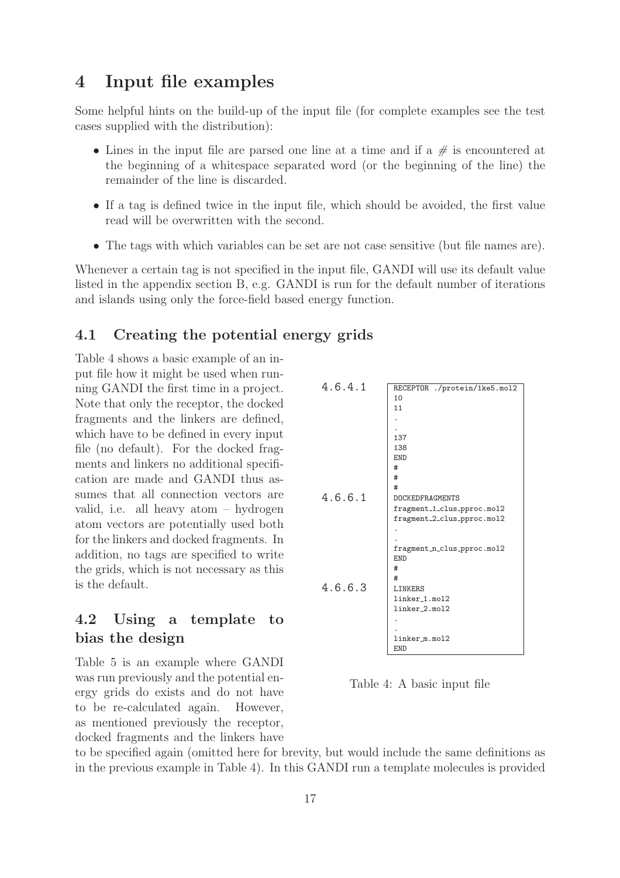# 4 Input file examples

Some helpful hints on the build-up of the input file (for complete examples see the test cases supplied with the distribution):

- Lines in the input file are parsed one line at a time and if a  $\#$  is encountered at the beginning of a whitespace separated word (or the beginning of the line) the remainder of the line is discarded.
- If a tag is defined twice in the input file, which should be avoided, the first value read will be overwritten with the second.
- The tags with which variables can be set are not case sensitive (but file names are).

Whenever a certain tag is not specified in the input file, GANDI will use its default value listed in the appendix section B, e.g. GANDI is run for the default number of iterations and islands using only the force-field based energy function.

## 4.1 Creating the potential energy grids

Table 4 shows a basic example of an input file how it might be used when running GANDI the first time in a project. Note that only the receptor, the docked fragments and the linkers are defined, which have to be defined in every input file (no default). For the docked fragments and linkers no additional specification are made and GANDI thus assumes that all connection vectors are valid, i.e. all heavy atom – hydrogen atom vectors are potentially used both for the linkers and docked fragments. In addition, no tags are specified to write the grids, which is not necessary as this is the default.

## 4.2 Using a template to bias the design

Table 5 is an example where GANDI was run previously and the potential energy grids do exists and do not have to be re-calculated again. However, as mentioned previously the receptor, docked fragments and the linkers have



Table 4: A basic input file

to be specified again (omitted here for brevity, but would include the same definitions as in the previous example in Table 4). In this GANDI run a template molecules is provided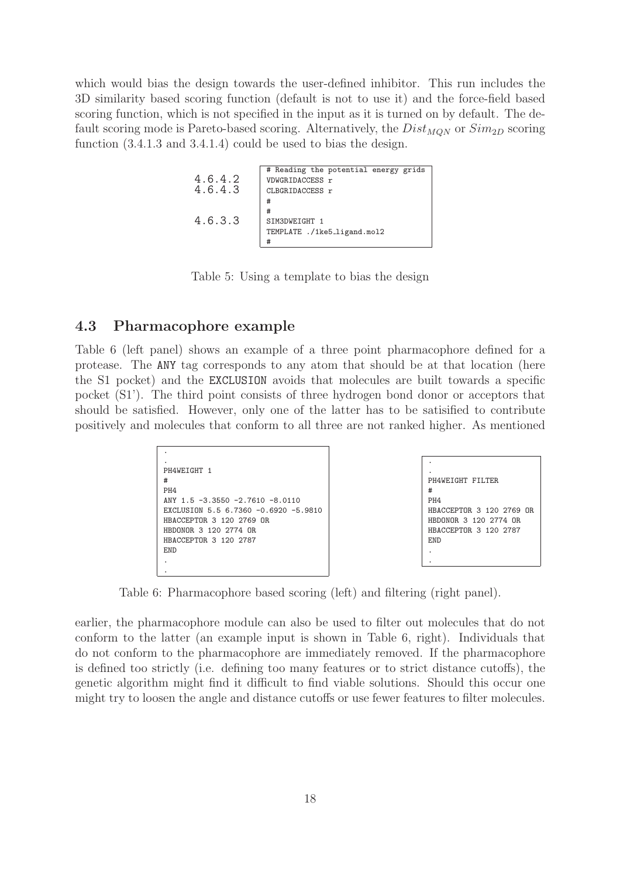which would bias the design towards the user-defined inhibitor. This run includes the 3D similarity based scoring function (default is not to use it) and the force-field based scoring function, which is not specified in the input as it is turned on by default. The default scoring mode is Pareto-based scoring. Alternatively, the  $Dist_{MON}$  or  $Sim_{2D}$  scoring function (3.4.1.3 and 3.4.1.4) could be used to bias the design.

```
# Reading the potential energy grids
4.6.4.2 | VDWGRIDACCESS r<br>4.6.4.3 | CLBGRIDACCESS r
                  CLBGRIDACCESS r
                  #
                  #
4.6.3.3 SIM3DWEIGHT 1
                  TEMPLATE ./1ke5_ligand.mol2
                  #
```
Table 5: Using a template to bias the design

#### 4.3 Pharmacophore example

Table 6 (left panel) shows an example of a three point pharmacophore defined for a protease. The ANY tag corresponds to any atom that should be at that location (here the S1 pocket) and the EXCLUSION avoids that molecules are built towards a specific pocket (S1'). The third point consists of three hydrogen bond donor or acceptors that should be satisfied. However, only one of the latter has to be satisified to contribute positively and molecules that conform to all three are not ranked higher. As mentioned

```
.
.
PH4WEIGHT 1
#
PH4
ANY 1.5 -3.3550 -2.7610 -8.0110
EXCLUSION 5.5 6.7360 -0.6920 -5.9810
HBACCEPTOR 3 120 2769 OR
HBDONOR 3 120 2774 OR
HBACCEPTOR 3 120 2787
END
.
.
```


Table 6: Pharmacophore based scoring (left) and filtering (right panel).

earlier, the pharmacophore module can also be used to filter out molecules that do not conform to the latter (an example input is shown in Table 6, right). Individuals that do not conform to the pharmacophore are immediately removed. If the pharmacophore is defined too strictly (i.e. defining too many features or to strict distance cutoffs), the genetic algorithm might find it difficult to find viable solutions. Should this occur one might try to loosen the angle and distance cutoffs or use fewer features to filter molecules.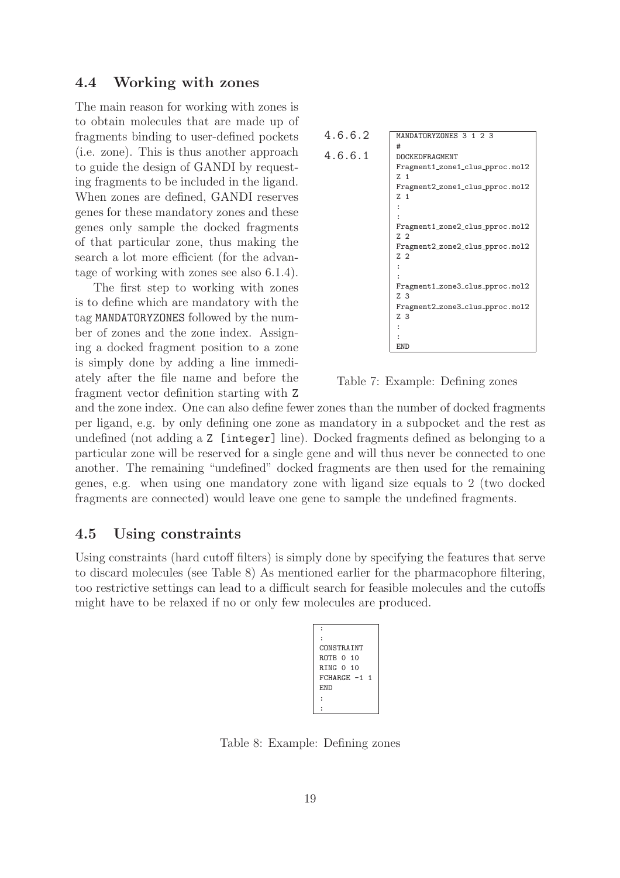#### 4.4 Working with zones

The main reason for working with zones is to obtain molecules that are made up of fragments binding to user-defined pockets (i.e. zone). This is thus another approach to guide the design of GANDI by requesting fragments to be included in the ligand. When zones are defined, GANDI reserves genes for these mandatory zones and these genes only sample the docked fragments of that particular zone, thus making the search a lot more efficient (for the advantage of working with zones see also 6.1.4).

The first step to working with zones is to define which are mandatory with the tag MANDATORYZONES followed by the number of zones and the zone index. Assigning a docked fragment position to a zone is simply done by adding a line immediately after the file name and before the fragment vector definition starting with Z



Table 7: Example: Defining zones

and the zone index. One can also define fewer zones than the number of docked fragments per ligand, e.g. by only defining one zone as mandatory in a subpocket and the rest as undefined (not adding a Z [integer] line). Docked fragments defined as belonging to a particular zone will be reserved for a single gene and will thus never be connected to one another. The remaining "undefined" docked fragments are then used for the remaining genes, e.g. when using one mandatory zone with ligand size equals to 2 (two docked fragments are connected) would leave one gene to sample the undefined fragments.

#### 4.5 Using constraints

Using constraints (hard cutoff filters) is simply done by specifying the features that serve to discard molecules (see Table 8) As mentioned earlier for the pharmacophore filtering, too restrictive settings can lead to a difficult search for feasible molecules and the cutoffs might have to be relaxed if no or only few molecules are produced.



Table 8: Example: Defining zones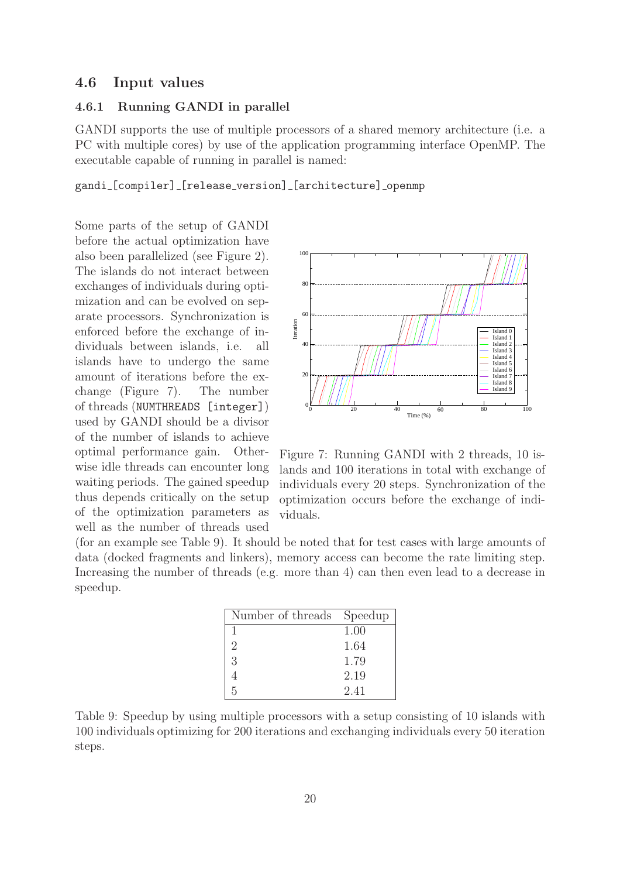#### 4.6 Input values

#### 4.6.1 Running GANDI in parallel

GANDI supports the use of multiple processors of a shared memory architecture (i.e. a PC with multiple cores) by use of the application programming interface OpenMP. The executable capable of running in parallel is named:

gandi [compiler] [release\_version] [architecture] openmp

Some parts of the setup of GANDI before the actual optimization have also been parallelized (see Figure 2). The islands do not interact between exchanges of individuals during optimization and can be evolved on separate processors. Synchronization is enforced before the exchange of individuals between islands, i.e. all islands have to undergo the same amount of iterations before the exchange (Figure 7). The number of threads (NUMTHREADS [integer]) used by GANDI should be a divisor of the number of islands to achieve optimal performance gain. Otherwise idle threads can encounter long waiting periods. The gained speedup thus depends critically on the setup of the optimization parameters as well as the number of threads used



Figure 7: Running GANDI with 2 threads, 10 islands and 100 iterations in total with exchange of individuals every 20 steps. Synchronization of the optimization occurs before the exchange of individuals.

(for an example see Table 9). It should be noted that for test cases with large amounts of data (docked fragments and linkers), memory access can become the rate limiting step. Increasing the number of threads (e.g. more than 4) can then even lead to a decrease in speedup.

| Number of threads Speedup   |      |
|-----------------------------|------|
| 1                           | 1.00 |
| $\mathcal{D}_{\mathcal{L}}$ | 1.64 |
| 3                           | 1.79 |
|                             | 2.19 |
| 5                           | 2.41 |

Table 9: Speedup by using multiple processors with a setup consisting of 10 islands with 100 individuals optimizing for 200 iterations and exchanging individuals every 50 iteration steps.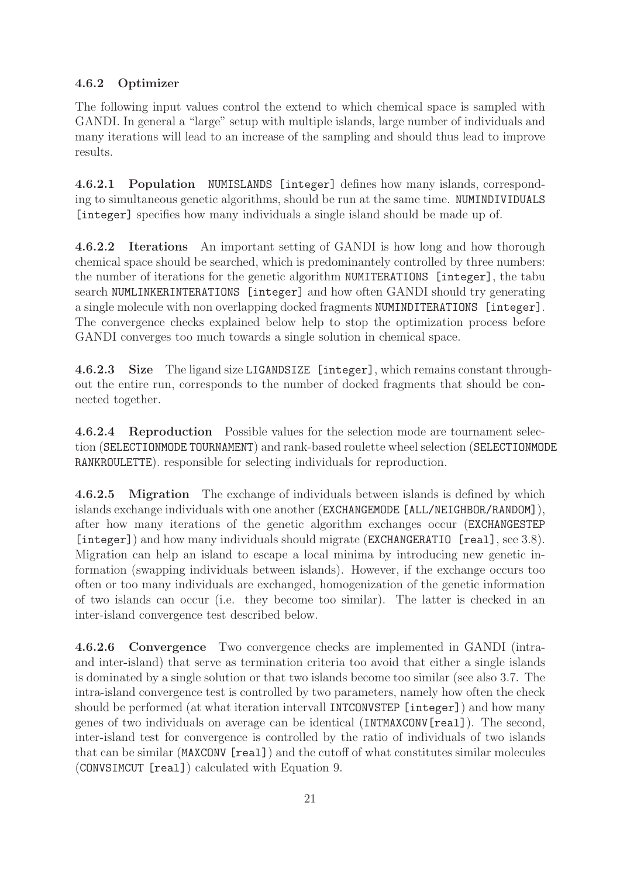## 4.6.2 Optimizer

The following input values control the extend to which chemical space is sampled with GANDI. In general a "large" setup with multiple islands, large number of individuals and many iterations will lead to an increase of the sampling and should thus lead to improve results.

4.6.2.1 Population NUMISLANDS [integer] defines how many islands, corresponding to simultaneous genetic algorithms, should be run at the same time. NUMINDIVIDUALS [integer] specifies how many individuals a single island should be made up of.

4.6.2.2 Iterations An important setting of GANDI is how long and how thorough chemical space should be searched, which is predominantely controlled by three numbers: the number of iterations for the genetic algorithm NUMITERATIONS [integer], the tabu search NUMLINKERINTERATIONS [integer] and how often GANDI should try generating a single molecule with non overlapping docked fragments NUMINDITERATIONS [integer]. The convergence checks explained below help to stop the optimization process before GANDI converges too much towards a single solution in chemical space.

4.6.2.3 Size The ligand size LIGANDSIZE [integer], which remains constant throughout the entire run, corresponds to the number of docked fragments that should be connected together.

4.6.2.4 Reproduction Possible values for the selection mode are tournament selection (SELECTIONMODE TOURNAMENT) and rank-based roulette wheel selection (SELECTIONMODE RANKROULETTE). responsible for selecting individuals for reproduction.

4.6.2.5 Migration The exchange of individuals between islands is defined by which islands exchange individuals with one another (EXCHANGEMODE [ALL/NEIGHBOR/RANDOM]), after how many iterations of the genetic algorithm exchanges occur (EXCHANGESTEP [integer]) and how many individuals should migrate (EXCHANGERATIO [real], see 3.8). Migration can help an island to escape a local minima by introducing new genetic information (swapping individuals between islands). However, if the exchange occurs too often or too many individuals are exchanged, homogenization of the genetic information of two islands can occur (i.e. they become too similar). The latter is checked in an inter-island convergence test described below.

4.6.2.6 Convergence Two convergence checks are implemented in GANDI (intraand inter-island) that serve as termination criteria too avoid that either a single islands is dominated by a single solution or that two islands become too similar (see also 3.7. The intra-island convergence test is controlled by two parameters, namely how often the check should be performed (at what iteration intervall INTCONVSTEP [integer]) and how many genes of two individuals on average can be identical (INTMAXCONV[real]). The second, inter-island test for convergence is controlled by the ratio of individuals of two islands that can be similar (MAXCONV [real]) and the cutoff of what constitutes similar molecules (CONVSIMCUT [real]) calculated with Equation 9.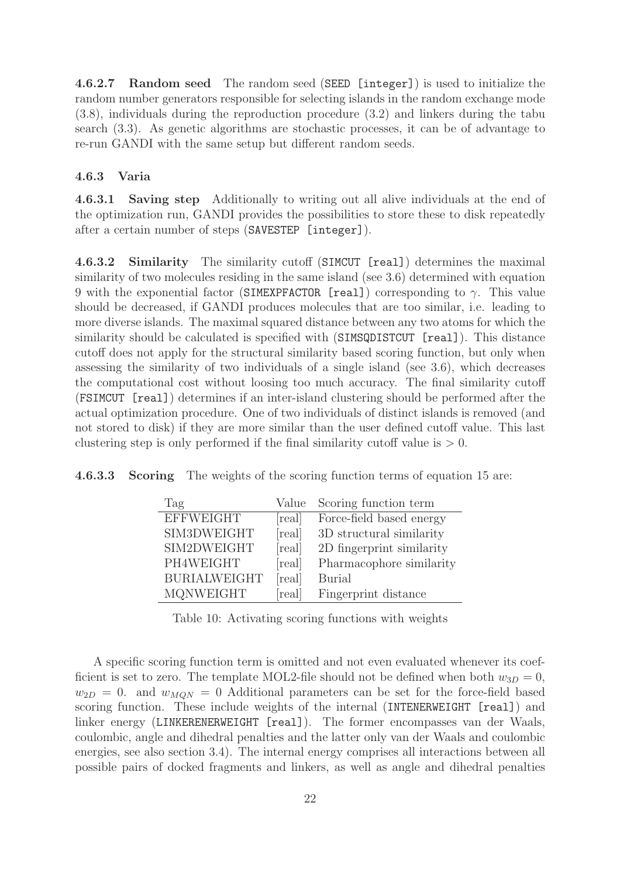4.6.2.7 Random seed The random seed (SEED [integer]) is used to initialize the random number generators responsible for selecting islands in the random exchange mode (3.8), individuals during the reproduction procedure (3.2) and linkers during the tabu search (3.3). As genetic algorithms are stochastic processes, it can be of advantage to re-run GANDI with the same setup but different random seeds.

#### 4.6.3 Varia

4.6.3.1 Saving step Additionally to writing out all alive individuals at the end of the optimization run, GANDI provides the possibilities to store these to disk repeatedly after a certain number of steps (SAVESTEP [integer]).

4.6.3.2 Similarity The similarity cutoff (SIMCUT [real]) determines the maximal similarity of two molecules residing in the same island (see 3.6) determined with equation 9 with the exponential factor (SIMEXPFACTOR [real]) corresponding to  $\gamma$ . This value should be decreased, if GANDI produces molecules that are too similar, i.e. leading to more diverse islands. The maximal squared distance between any two atoms for which the similarity should be calculated is specified with (SIMSQDISTCUT [real]). This distance cutoff does not apply for the structural similarity based scoring function, but only when assessing the similarity of two individuals of a single island (see 3.6), which decreases the computational cost without loosing too much accuracy. The final similarity cutoff (FSIMCUT [real]) determines if an inter-island clustering should be performed after the actual optimization procedure. One of two individuals of distinct islands is removed (and not stored to disk) if they are more similar than the user defined cutoff value. This last clustering step is only performed if the final similarity cutoff value is  $> 0$ .

|  |  | <b>4.6.3.3 Scoring</b> The weights of the scoring function terms of equation 15 are: |  |  |  |  |  |  |
|--|--|--------------------------------------------------------------------------------------|--|--|--|--|--|--|
|--|--|--------------------------------------------------------------------------------------|--|--|--|--|--|--|

| Tag                 | Value  | Scoring function term     |
|---------------------|--------|---------------------------|
| <b>EFFWEIGHT</b>    | [real] | Force-field based energy  |
| SIM3DWEIGHT         | real   | 3D structural similarity  |
| SIM2DWEIGHT         | real   | 2D fingerprint similarity |
| PH4WEIGHT           | real   | Pharmacophore similarity  |
| <b>BURIALWEIGHT</b> | real   | <b>Burial</b>             |
| <b>MQNWEIGHT</b>    | real   | Fingerprint distance      |

Table 10: Activating scoring functions with weights

A specific scoring function term is omitted and not even evaluated whenever its coefficient is set to zero. The template MOL2-file should not be defined when both  $w_{3D} = 0$ ,  $w_{2D} = 0$ . and  $w_{MON} = 0$  Additional parameters can be set for the force-field based scoring function. These include weights of the internal (INTENERWEIGHT [real]) and linker energy (LINKERENERWEIGHT [real]). The former encompasses van der Waals, coulombic, angle and dihedral penalties and the latter only van der Waals and coulombic energies, see also section 3.4). The internal energy comprises all interactions between all possible pairs of docked fragments and linkers, as well as angle and dihedral penalties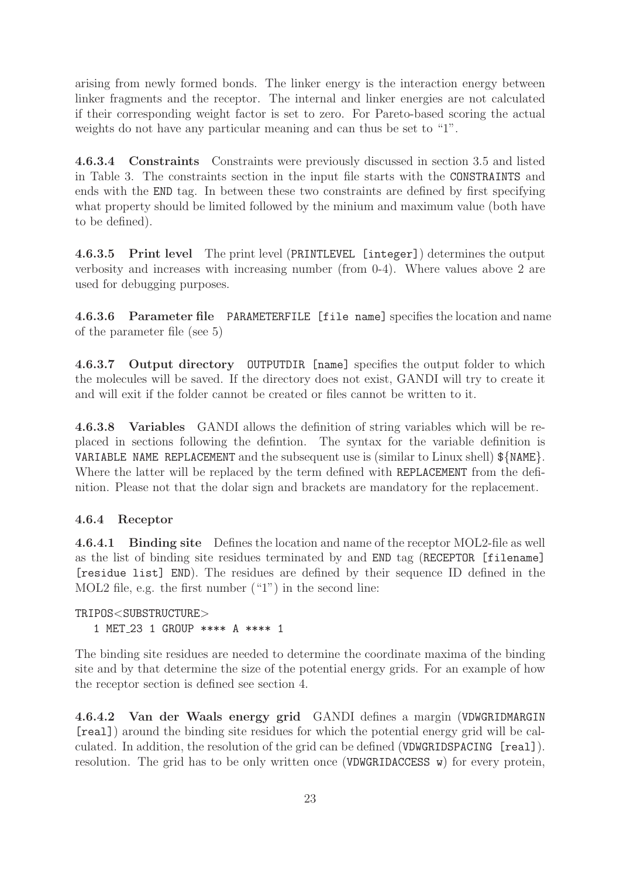arising from newly formed bonds. The linker energy is the interaction energy between linker fragments and the receptor. The internal and linker energies are not calculated if their corresponding weight factor is set to zero. For Pareto-based scoring the actual weights do not have any particular meaning and can thus be set to "1".

4.6.3.4 Constraints Constraints were previously discussed in section 3.5 and listed in Table 3. The constraints section in the input file starts with the CONSTRAINTS and ends with the END tag. In between these two constraints are defined by first specifying what property should be limited followed by the minium and maximum value (both have to be defined).

4.6.3.5 Print level The print level (PRINTLEVEL [integer]) determines the output verbosity and increases with increasing number (from 0-4). Where values above 2 are used for debugging purposes.

4.6.3.6 Parameter file PARAMETERFILE [file name] specifies the location and name of the parameter file (see 5)

4.6.3.7 Output directory OUTPUTDIR [name] specifies the output folder to which the molecules will be saved. If the directory does not exist, GANDI will try to create it and will exit if the folder cannot be created or files cannot be written to it.

4.6.3.8 Variables GANDI allows the definition of string variables which will be replaced in sections following the defintion. The syntax for the variable definition is VARIABLE NAME REPLACEMENT and the subsequent use is (similar to Linux shell)  $\{\text{NAME}\}$ . Where the latter will be replaced by the term defined with REPLACEMENT from the definition. Please not that the dolar sign and brackets are mandatory for the replacement.

#### 4.6.4 Receptor

4.6.4.1 Binding site Defines the location and name of the receptor MOL2-file as well as the list of binding site residues terminated by and END tag (RECEPTOR [filename] [residue list] END). The residues are defined by their sequence ID defined in the MOL2 file, e.g. the first number ("1") in the second line:

TRIPOS<SUBSTRUCTURE> 1 MET 23 1 GROUP \*\*\*\* A \*\*\*\* 1

The binding site residues are needed to determine the coordinate maxima of the binding site and by that determine the size of the potential energy grids. For an example of how the receptor section is defined see section 4.

4.6.4.2 Van der Waals energy grid GANDI defines a margin (VDWGRIDMARGIN [real]) around the binding site residues for which the potential energy grid will be calculated. In addition, the resolution of the grid can be defined (VDWGRIDSPACING [real]). resolution. The grid has to be only written once (VDWGRIDACCESS w) for every protein,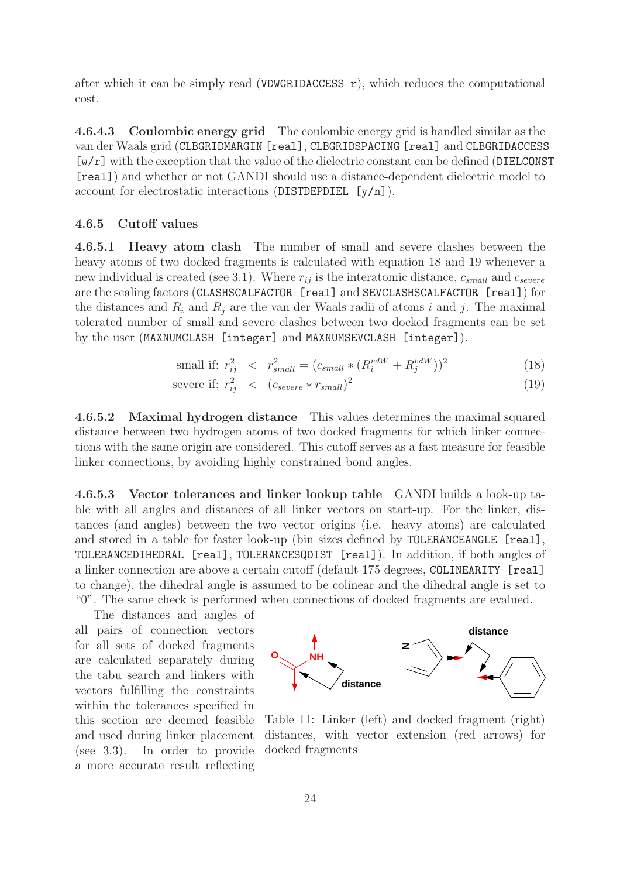after which it can be simply read (VDWGRIDACCESS  $r$ ), which reduces the computational cost.

4.6.4.3 Coulombic energy grid The coulombic energy grid is handled similar as the van der Waals grid (CLBGRIDMARGIN [real], CLBGRIDSPACING [real] and CLBGRIDACCESS [w/r] with the exception that the value of the dielectric constant can be defined (DIELCONST [real]) and whether or not GANDI should use a distance-dependent dielectric model to account for electrostatic interactions (DISTDEPDIEL [y/n]).

#### 4.6.5 Cutoff values

4.6.5.1 Heavy atom clash The number of small and severe clashes between the heavy atoms of two docked fragments is calculated with equation 18 and 19 whenever a new individual is created (see 3.1). Where  $r_{ij}$  is the interatomic distance,  $c_{small}$  and  $c_{severe}$ are the scaling factors (CLASHSCALFACTOR [real] and SEVCLASHSCALFACTOR [real]) for the distances and  $R_i$  and  $R_j$  are the van der Waals radii of atoms i and j. The maximal tolerated number of small and severe clashes between two docked fragments can be set by the user (MAXNUMCLASH [integer] and MAXNUMSEVCLASH [integer]).

small if: 
$$
r_{ij}^2 \, < \, r_{small}^2 = (c_{small} * (R_i^{vdW} + R_j^{vdW}))^2
$$
 (18)

severe if: 
$$
r_{ij}^2
$$
  $\langle c_{severe} * r_{small} \rangle^2$  (19)

4.6.5.2 Maximal hydrogen distance This values determines the maximal squared distance between two hydrogen atoms of two docked fragments for which linker connections with the same origin are considered. This cutoff serves as a fast measure for feasible linker connections, by avoiding highly constrained bond angles.

4.6.5.3 Vector tolerances and linker lookup table GANDI builds a look-up table with all angles and distances of all linker vectors on start-up. For the linker, distances (and angles) between the two vector origins (i.e. heavy atoms) are calculated and stored in a table for faster look-up (bin sizes defined by TOLERANCEANGLE [real], TOLERANCEDIHEDRAL [real], TOLERANCESQDIST [real]). In addition, if both angles of a linker connection are above a certain cutoff (default 175 degrees, COLINEARITY [real] to change), the dihedral angle is assumed to be colinear and the dihedral angle is set to "0". The same check is performed when connections of docked fragments are evalued.

The distances and angles of all pairs of connection vectors for all sets of docked fragments are calculated separately during the tabu search and linkers with vectors fulfilling the constraints within the tolerances specified in this section are deemed feasible and used during linker placement (see 3.3). In order to provide a more accurate result reflecting



Table 11: Linker (left) and docked fragment (right) distances, with vector extension (red arrows) for docked fragments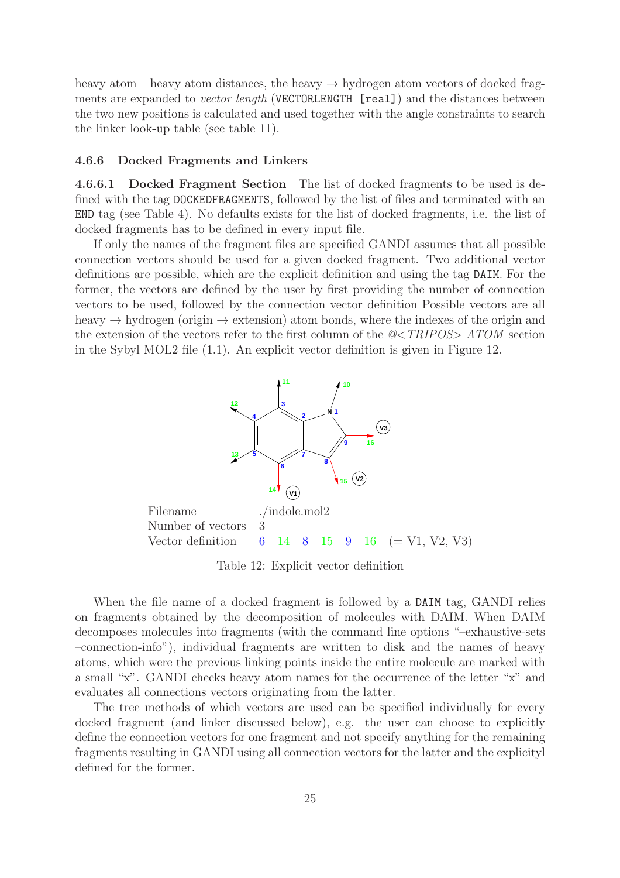heavy atom – heavy atom distances, the heavy  $\rightarrow$  hydrogen atom vectors of docked fragments are expanded to *vector length* (VECTORLENGTH [real]) and the distances between the two new positions is calculated and used together with the angle constraints to search the linker look-up table (see table 11).

#### 4.6.6 Docked Fragments and Linkers

4.6.6.1 Docked Fragment Section The list of docked fragments to be used is defined with the tag DOCKEDFRAGMENTS, followed by the list of files and terminated with an END tag (see Table 4). No defaults exists for the list of docked fragments, i.e. the list of docked fragments has to be defined in every input file.

If only the names of the fragment files are specified GANDI assumes that all possible connection vectors should be used for a given docked fragment. Two additional vector definitions are possible, which are the explicit definition and using the tag DAIM. For the former, the vectors are defined by the user by first providing the number of connection vectors to be used, followed by the connection vector definition Possible vectors are all heavy  $\rightarrow$  hydrogen (origin  $\rightarrow$  extension) atom bonds, where the indexes of the origin and the extension of the vectors refer to the first column of the @<TRIPOS> ATOM section in the Sybyl MOL2 file (1.1). An explicit vector definition is given in Figure 12.



Table 12: Explicit vector definition

When the file name of a docked fragment is followed by a DAIM tag, GANDI relies on fragments obtained by the decomposition of molecules with DAIM. When DAIM decomposes molecules into fragments (with the command line options "–exhaustive-sets –connection-info"), individual fragments are written to disk and the names of heavy atoms, which were the previous linking points inside the entire molecule are marked with a small "x". GANDI checks heavy atom names for the occurrence of the letter "x" and evaluates all connections vectors originating from the latter.

The tree methods of which vectors are used can be specified individually for every docked fragment (and linker discussed below), e.g. the user can choose to explicitly define the connection vectors for one fragment and not specify anything for the remaining fragments resulting in GANDI using all connection vectors for the latter and the explicityl defined for the former.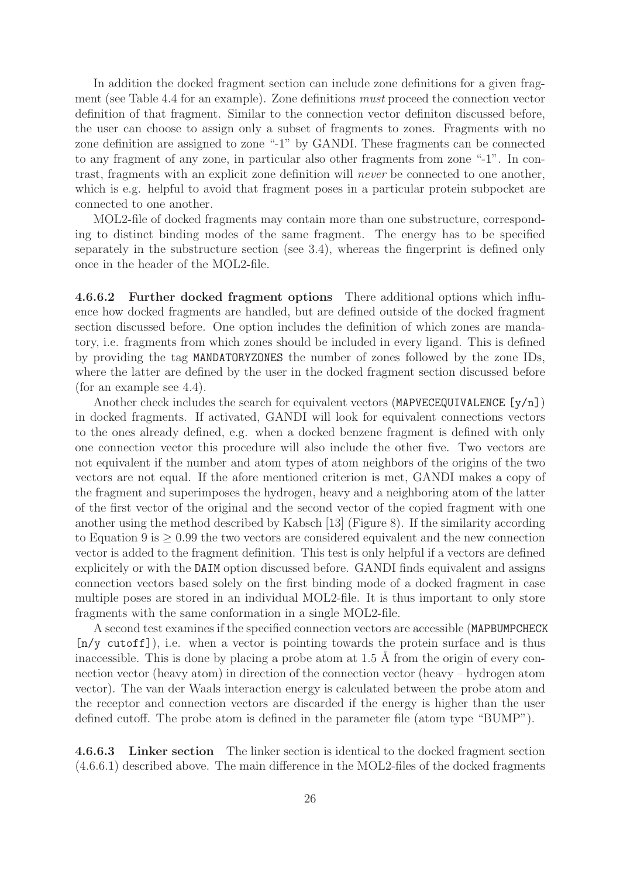In addition the docked fragment section can include zone definitions for a given fragment (see Table 4.4 for an example). Zone definitions must proceed the connection vector definition of that fragment. Similar to the connection vector definiton discussed before, the user can choose to assign only a subset of fragments to zones. Fragments with no zone definition are assigned to zone "-1" by GANDI. These fragments can be connected to any fragment of any zone, in particular also other fragments from zone "-1". In contrast, fragments with an explicit zone definition will never be connected to one another, which is e.g. helpful to avoid that fragment poses in a particular protein subpocket are connected to one another.

MOL2-file of docked fragments may contain more than one substructure, corresponding to distinct binding modes of the same fragment. The energy has to be specified separately in the substructure section (see 3.4), whereas the fingerprint is defined only once in the header of the MOL2-file.

4.6.6.2 Further docked fragment options There additional options which influence how docked fragments are handled, but are defined outside of the docked fragment section discussed before. One option includes the definition of which zones are mandatory, i.e. fragments from which zones should be included in every ligand. This is defined by providing the tag MANDATORYZONES the number of zones followed by the zone IDs, where the latter are defined by the user in the docked fragment section discussed before (for an example see 4.4).

Another check includes the search for equivalent vectors (MAPVECEQUIVALENCE  $[y/n]$ ) in docked fragments. If activated, GANDI will look for equivalent connections vectors to the ones already defined, e.g. when a docked benzene fragment is defined with only one connection vector this procedure will also include the other five. Two vectors are not equivalent if the number and atom types of atom neighbors of the origins of the two vectors are not equal. If the afore mentioned criterion is met, GANDI makes a copy of the fragment and superimposes the hydrogen, heavy and a neighboring atom of the latter of the first vector of the original and the second vector of the copied fragment with one another using the method described by Kabsch [13] (Figure 8). If the similarity according to Equation 9 is ≥ 0.99 the two vectors are considered equivalent and the new connection vector is added to the fragment definition. This test is only helpful if a vectors are defined explicitely or with the DAIM option discussed before. GANDI finds equivalent and assigns connection vectors based solely on the first binding mode of a docked fragment in case multiple poses are stored in an individual MOL2-file. It is thus important to only store fragments with the same conformation in a single MOL2-file.

A second test examines if the specified connection vectors are accessible (MAPBUMPCHECK [n/y cutoff]), i.e. when a vector is pointing towards the protein surface and is thus inaccessible. This is done by placing a probe atom at  $1.5 \text{ Å}$  from the origin of every connection vector (heavy atom) in direction of the connection vector (heavy – hydrogen atom vector). The van der Waals interaction energy is calculated between the probe atom and the receptor and connection vectors are discarded if the energy is higher than the user defined cutoff. The probe atom is defined in the parameter file (atom type "BUMP").

4.6.6.3 Linker section The linker section is identical to the docked fragment section (4.6.6.1) described above. The main difference in the MOL2-files of the docked fragments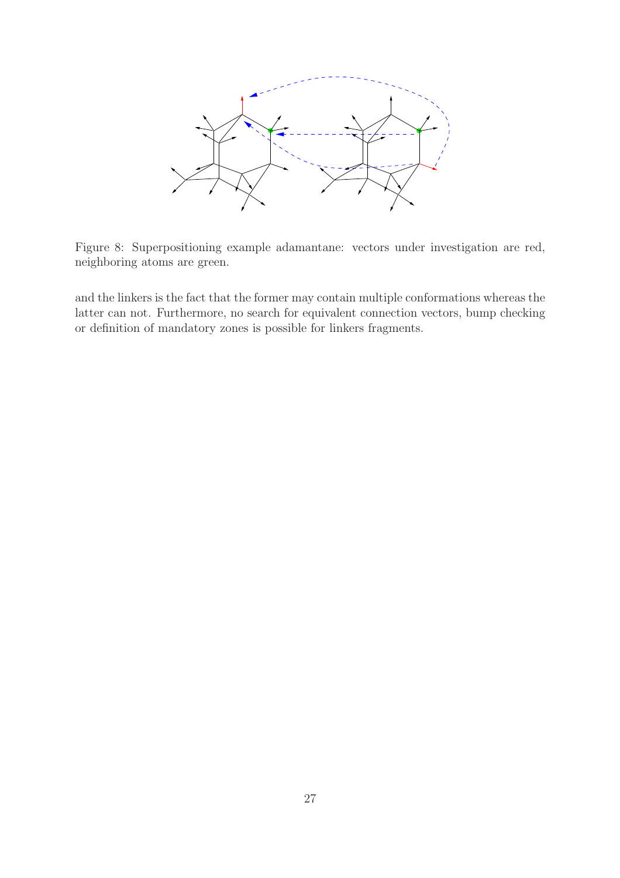

Figure 8: Superpositioning example adamantane: vectors under investigation are red, neighboring atoms are green.

and the linkers is the fact that the former may contain multiple conformations whereas the latter can not. Furthermore, no search for equivalent connection vectors, bump checking or definition of mandatory zones is possible for linkers fragments.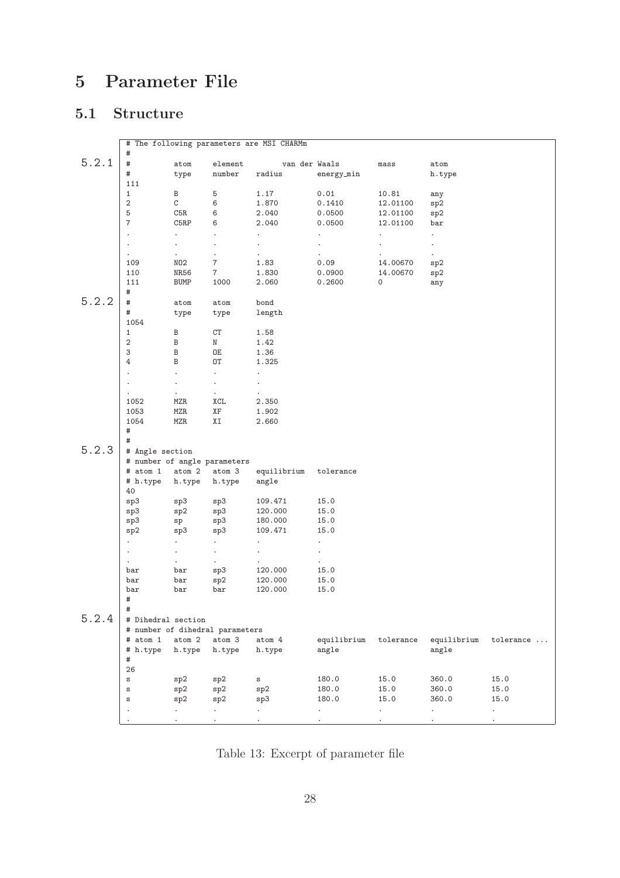# 5 Parameter File

# 5.1 Structure

|       |                                 |                             |                      | # The following parameters are MSI CHARMm |                      |                      |                      |           |
|-------|---------------------------------|-----------------------------|----------------------|-------------------------------------------|----------------------|----------------------|----------------------|-----------|
|       | $\#$                            |                             |                      |                                           |                      |                      |                      |           |
| 5.2.1 | $\#$                            | atom                        | element              | van der Waals                             |                      | $_{\tt mass}$        | atom                 |           |
|       | #                               | type                        | number               | radius                                    | energy_min           |                      | h.type               |           |
|       | 111                             |                             |                      |                                           |                      |                      |                      |           |
|       | $\mathbf{1}$                    | B                           | 5                    | 1.17                                      | 0.01                 | 10.81                | any                  |           |
|       | 2                               | C                           | 6                    | 1.870                                     | 0.1410               | 12.01100             | sp2                  |           |
|       | 5                               | C5R                         | 6                    | 2.040                                     | 0.0500               | 12.01100             | sp2                  |           |
|       | $\overline{7}$                  | C5RP                        | 6                    | 2.040                                     | 0.0500               | 12.01100             | bar                  |           |
|       | $\ddot{\phantom{a}}$            | $\ddot{\phantom{0}}$        | $\ddot{\phantom{0}}$ | $\ddot{\phantom{0}}$                      |                      | $\ddot{\phantom{0}}$ | $\ddot{\phantom{0}}$ |           |
|       | $\ddot{\phantom{0}}$            |                             | ٠                    |                                           | $\ddot{\phantom{a}}$ |                      | $\bullet$            |           |
|       |                                 | $\bullet$                   | $\ddot{\phantom{0}}$ | $\bullet$                                 | $\ddot{\phantom{0}}$ |                      | $\bullet$            |           |
|       | 109                             | NO2                         | 7                    | 1.83                                      | 0.09                 | 14.00670             | sp2                  |           |
|       | 110                             | NR56                        | $\overline{7}$       | 1.830                                     | 0.0900               | 14.00670             | sp2                  |           |
|       | 111<br>$\#$                     | BUMP                        | 1000                 | 2.060                                     | 0.2600               | 0                    | any                  |           |
| 5.2.2 | #                               | atom                        | atom                 | bond                                      |                      |                      |                      |           |
|       | $\#$                            | type                        | type                 | length                                    |                      |                      |                      |           |
|       | 1054                            |                             |                      |                                           |                      |                      |                      |           |
|       | $\mathbf{1}$                    | В                           | СT                   | 1.58                                      |                      |                      |                      |           |
|       | 2                               | В                           | N                    | 1.42                                      |                      |                      |                      |           |
|       | 3                               | B                           | 0E                   | 1.36                                      |                      |                      |                      |           |
|       | $\overline{4}$                  | B                           | 0T                   | 1.325                                     |                      |                      |                      |           |
|       |                                 | $\ddot{\phantom{0}}$        | ¥.                   | $\ddot{\phantom{0}}$                      |                      |                      |                      |           |
|       | $\ddot{\phantom{0}}$            | $\bullet$                   | $\bullet$            | $\bullet$                                 |                      |                      |                      |           |
|       |                                 | $\bullet$                   | $\epsilon$           |                                           |                      |                      |                      |           |
|       | 1052                            | MZR                         | XCL                  | 2.350                                     |                      |                      |                      |           |
|       | 1053                            | MZR                         | ΧF                   | 1.902                                     |                      |                      |                      |           |
|       | 1054                            | MZR                         | ΧI                   | 2.660                                     |                      |                      |                      |           |
|       | $\#$<br>$\#$                    |                             |                      |                                           |                      |                      |                      |           |
| 5.2.3 | # Angle section                 |                             |                      |                                           |                      |                      |                      |           |
|       | # number of angle parameters    |                             |                      |                                           |                      |                      |                      |           |
|       | # atom 1                        | atom 2                      | atom 3               | equilibrium                               | tolerance            |                      |                      |           |
|       | # h.type                        | h.type                      | h.type               | angle                                     |                      |                      |                      |           |
|       | 40                              |                             |                      |                                           |                      |                      |                      |           |
|       | sp3                             | sp3                         | sp3                  | 109.471                                   | 15.0                 |                      |                      |           |
|       | sp3                             | sp2                         | sp3                  | 120.000                                   | 15.0                 |                      |                      |           |
|       | sp3                             | sp                          | sp3                  | 180.000                                   | 15.0                 |                      |                      |           |
|       | sp2                             | sp3                         | sp3                  | 109.471                                   | 15.0                 |                      |                      |           |
|       | $\mathcal{L}^{\pm}$             | $\mathcal{L}_{\mathcal{A}}$ | ¥.                   | $\ddot{\phantom{0}}$                      | $\bullet$            |                      |                      |           |
|       | $\blacksquare$                  | $\blacksquare$              | $\epsilon$           | $\ddot{\phantom{a}}$                      | $\ddot{\phantom{0}}$ |                      |                      |           |
|       | $\ddot{\phantom{0}}$            | $\bullet$                   | $\blacksquare$       |                                           | $\bullet$            |                      |                      |           |
|       | bar                             | bar                         | sp3                  | 120.000                                   | 15.0                 |                      |                      |           |
|       | bar                             | bar                         | sp2                  | 120.000                                   | 15.0                 |                      |                      |           |
|       | bar                             | bar                         | bar                  | 120.000                                   | 15.0                 |                      |                      |           |
|       | #                               |                             |                      |                                           |                      |                      |                      |           |
|       | #                               |                             |                      |                                           |                      |                      |                      |           |
| 5.2.4 | # Dihedral section              |                             |                      |                                           |                      |                      |                      |           |
|       | # number of dihedral parameters |                             |                      |                                           |                      |                      |                      |           |
|       | # atom 1                        | atom 2                      | atom 3               | atom 4                                    | equilibrium          | tolerance            | equilibrium          | tolerance |
|       | # h.type                        | h.type                      | h.type               | h.type                                    | angle                |                      | angle                |           |
|       | $\#$                            |                             |                      |                                           |                      |                      |                      |           |
|       | 26                              |                             |                      |                                           |                      |                      |                      |           |
|       | $\mathtt{s}$                    | sp2                         | sp2                  | $\mathtt{s}$                              | 180.0                | 15.0                 | 360.0                | 15.0      |
|       | $\mathtt{s}$                    | sp2                         | sp2                  | sp2                                       | 180.0                | 15.0                 | 360.0                | 15.0      |
|       | $\mathtt{s}$                    | sp2                         | sp2                  | sp3                                       | 180.0                | 15.0                 | 360.0                | 15.0      |
|       |                                 | $\epsilon$                  | ¥.                   | ¥.                                        | $\bullet$            | $\bullet$            | $\ddot{\phantom{0}}$ | $\bullet$ |
|       |                                 | $\ddot{\phantom{0}}$        | ÷.                   | $\ddot{\phantom{a}}$                      |                      | $\ddot{\phantom{0}}$ |                      | $\cdot$   |

Table 13: Excerpt of parameter file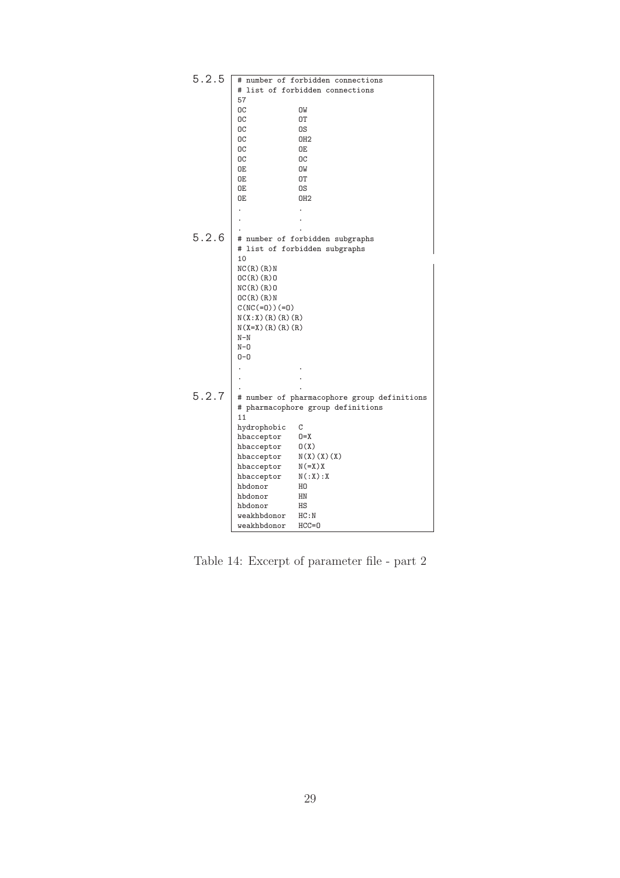| 5.2.5 |                   | # number of forbidden connections           |
|-------|-------------------|---------------------------------------------|
|       |                   | # list of forbidden connections             |
|       | 57                |                                             |
|       | ОC                | OW                                          |
|       | ОC                | 0T                                          |
|       | OC                | 0S                                          |
|       | ОC                | OH <sub>2</sub>                             |
|       | OC                | 0E                                          |
|       | OC                | <b>OC</b>                                   |
|       | 0E                | OW                                          |
|       | 0E                | 0T                                          |
|       | 0E                | 0S                                          |
|       | 0E                | OH <sub>2</sub>                             |
|       |                   |                                             |
|       |                   |                                             |
|       |                   |                                             |
| 5.2.6 |                   | # number of forbidden subgraphs             |
|       |                   | # list of forbidden subgraphs               |
|       | 10                |                                             |
|       | NC(R)(R)          |                                             |
|       | OC(R)(R)          |                                             |
|       | NC(R)(R)0         |                                             |
|       | OC(R)(R)          |                                             |
|       | $C(NC(=0)) (=0)$  |                                             |
|       | N(X:X)(R)(R)(R)   |                                             |
|       | $N(X=X)(R)(R)(R)$ |                                             |
|       | $N-N$             |                                             |
|       | $N - 0$           |                                             |
|       | $0 - 0$           |                                             |
|       |                   |                                             |
|       |                   |                                             |
|       |                   |                                             |
| 5.2.7 |                   | # number of pharmacophore group definitions |
|       |                   | # pharmacophore group definitions           |
|       | 11                |                                             |
|       | hydrophobic       | C                                           |
|       | hbacceptor        | $0 = X$                                     |
|       | hbacceptor        | O(X)                                        |
|       | hbacceptor        | $N(X)$ $(X)$ $(X)$                          |
|       | hbacceptor        | $N (= X) X$                                 |
|       | hbacceptor        | N(:X):X                                     |
|       | hbdonor           | H <sub>0</sub>                              |
|       | hbdonor           | HN                                          |
|       | hbdonor           | HS                                          |
|       | weakhbdonor       | HC:N                                        |
|       | weakhbdonor       | $HCC = 0$                                   |

Table 14: Excerpt of parameter file - part 2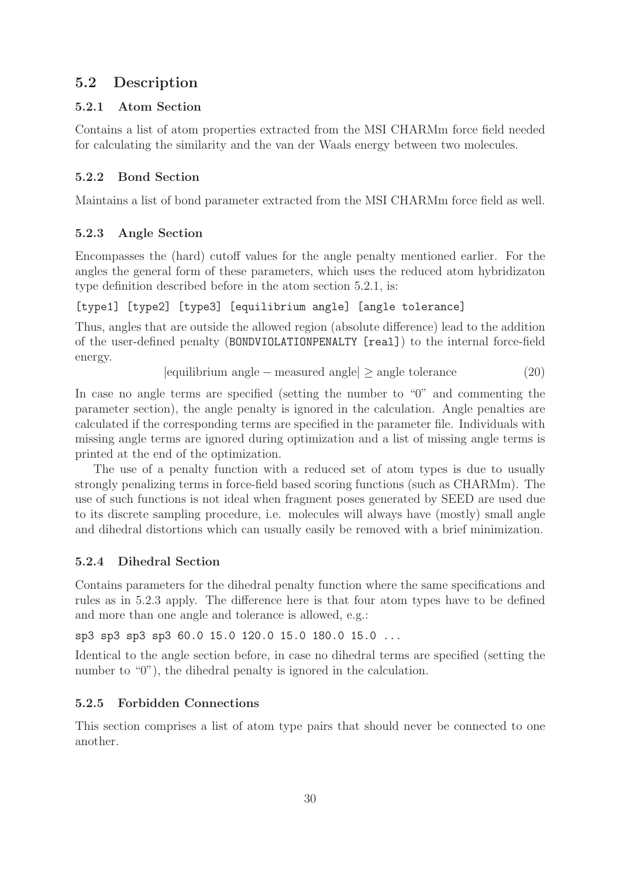## 5.2 Description

#### 5.2.1 Atom Section

Contains a list of atom properties extracted from the MSI CHARMm force field needed for calculating the similarity and the van der Waals energy between two molecules.

## 5.2.2 Bond Section

Maintains a list of bond parameter extracted from the MSI CHARMm force field as well.

## 5.2.3 Angle Section

Encompasses the (hard) cutoff values for the angle penalty mentioned earlier. For the angles the general form of these parameters, which uses the reduced atom hybridizaton type definition described before in the atom section 5.2.1, is:

[type1] [type2] [type3] [equilibrium angle] [angle tolerance]

Thus, angles that are outside the allowed region (absolute difference) lead to the addition of the user-defined penalty (BONDVIOLATIONPENALTY [real]) to the internal force-field energy.

|equilibrium angle − measured angle| ≥ angle tolerance (20)

In case no angle terms are specified (setting the number to "0" and commenting the parameter section), the angle penalty is ignored in the calculation. Angle penalties are calculated if the corresponding terms are specified in the parameter file. Individuals with missing angle terms are ignored during optimization and a list of missing angle terms is printed at the end of the optimization.

The use of a penalty function with a reduced set of atom types is due to usually strongly penalizing terms in force-field based scoring functions (such as CHARMm). The use of such functions is not ideal when fragment poses generated by SEED are used due to its discrete sampling procedure, i.e. molecules will always have (mostly) small angle and dihedral distortions which can usually easily be removed with a brief minimization.

## 5.2.4 Dihedral Section

Contains parameters for the dihedral penalty function where the same specifications and rules as in 5.2.3 apply. The difference here is that four atom types have to be defined and more than one angle and tolerance is allowed, e.g.:

sp3 sp3 sp3 sp3 60.0 15.0 120.0 15.0 180.0 15.0 ...

Identical to the angle section before, in case no dihedral terms are specified (setting the number to "0"), the dihedral penalty is ignored in the calculation.

## 5.2.5 Forbidden Connections

This section comprises a list of atom type pairs that should never be connected to one another.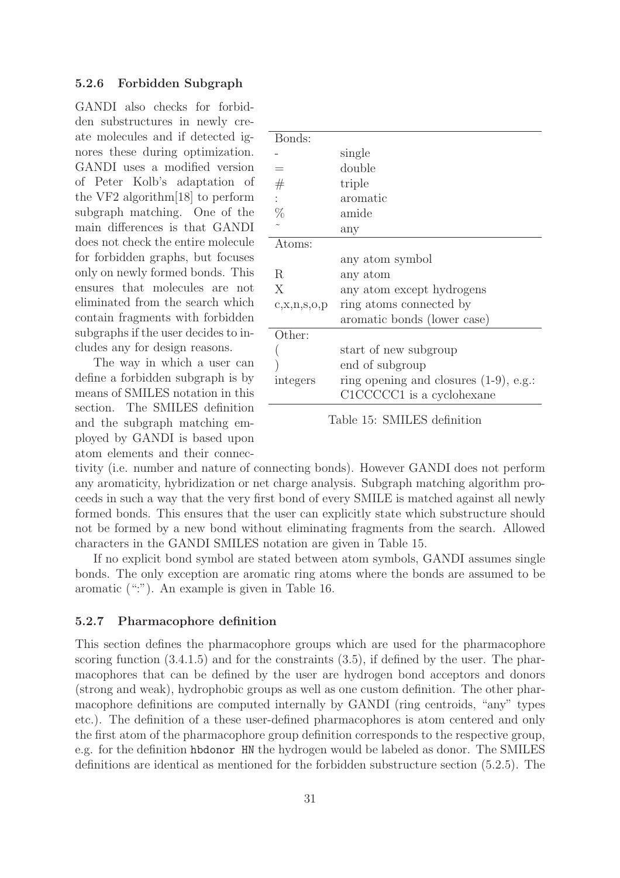#### 5.2.6 Forbidden Subgraph

GANDI also checks for forbidden substructures in newly create molecules and if detected ignores these during optimization. GANDI uses a modified version of Peter Kolb's adaptation of the VF2 algorithm[18] to perform subgraph matching. One of the main differences is that GANDI does not check the entire molecule for forbidden graphs, but focuses only on newly formed bonds. This ensures that molecules are not eliminated from the search which contain fragments with forbidden subgraphs if the user decides to includes any for design reasons.

The way in which a user can define a forbidden subgraph is by means of SMILES notation in this section. The SMILES definition and the subgraph matching employed by GANDI is based upon atom elements and their connec-

| Bonds:           |                                           |
|------------------|-------------------------------------------|
|                  | single                                    |
|                  | double                                    |
| #                | triple                                    |
| $\ddot{\cdot}$   | aromatic                                  |
| $\%$             | amide                                     |
|                  | any                                       |
| Atoms:           |                                           |
|                  | any atom symbol                           |
| R                | any atom                                  |
| X                | any atom except hydrogens                 |
| c, x, n, s, o, p | ring atoms connected by                   |
|                  | aromatic bonds (lower case)               |
| Other:           |                                           |
|                  | start of new subgroup                     |
|                  | end of subgroup                           |
| integers         | ring opening and closures $(1-9)$ , e.g.: |
|                  | C1CCCCC1 is a cyclohexane                 |
|                  |                                           |

Table 15: SMILES definition

tivity (i.e. number and nature of connecting bonds). However GANDI does not perform any aromaticity, hybridization or net charge analysis. Subgraph matching algorithm proceeds in such a way that the very first bond of every SMILE is matched against all newly formed bonds. This ensures that the user can explicitly state which substructure should not be formed by a new bond without eliminating fragments from the search. Allowed characters in the GANDI SMILES notation are given in Table 15.

If no explicit bond symbol are stated between atom symbols, GANDI assumes single bonds. The only exception are aromatic ring atoms where the bonds are assumed to be aromatic (":"). An example is given in Table 16.

#### 5.2.7 Pharmacophore definition

This section defines the pharmacophore groups which are used for the pharmacophore scoring function  $(3.4.1.5)$  and for the constraints  $(3.5)$ , if defined by the user. The pharmacophores that can be defined by the user are hydrogen bond acceptors and donors (strong and weak), hydrophobic groups as well as one custom definition. The other pharmacophore definitions are computed internally by GANDI (ring centroids, "any" types etc.). The definition of a these user-defined pharmacophores is atom centered and only the first atom of the pharmacophore group definition corresponds to the respective group, e.g. for the definition hbdonor HN the hydrogen would be labeled as donor. The SMILES definitions are identical as mentioned for the forbidden substructure section (5.2.5). The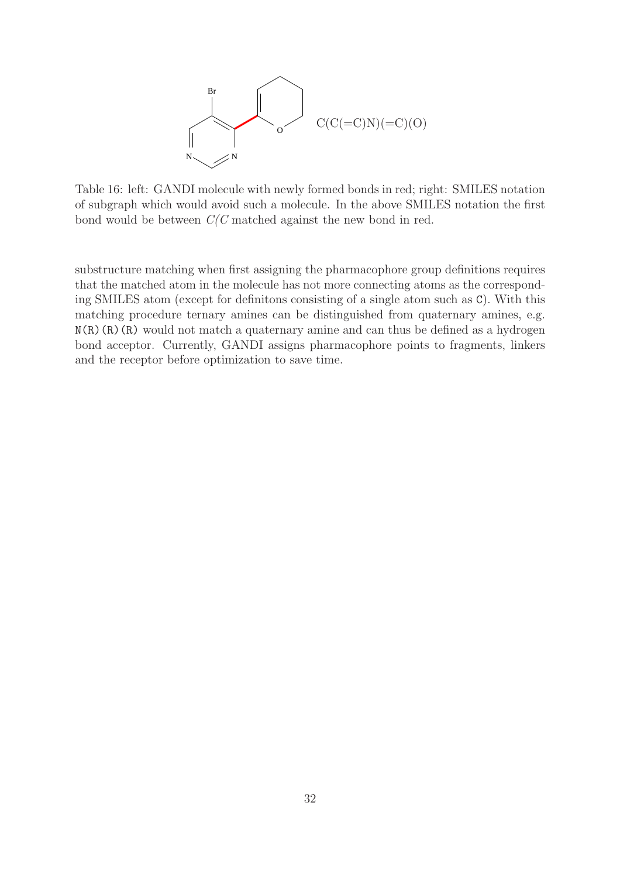

Table 16: left: GANDI molecule with newly formed bonds in red; right: SMILES notation of subgraph which would avoid such a molecule. In the above SMILES notation the first bond would be between  $C/C$  matched against the new bond in red.

substructure matching when first assigning the pharmacophore group definitions requires that the matched atom in the molecule has not more connecting atoms as the corresponding SMILES atom (except for definitons consisting of a single atom such as C). With this matching procedure ternary amines can be distinguished from quaternary amines, e.g.  $N(R)(R)(R)$  would not match a quaternary amine and can thus be defined as a hydrogen bond acceptor. Currently, GANDI assigns pharmacophore points to fragments, linkers and the receptor before optimization to save time.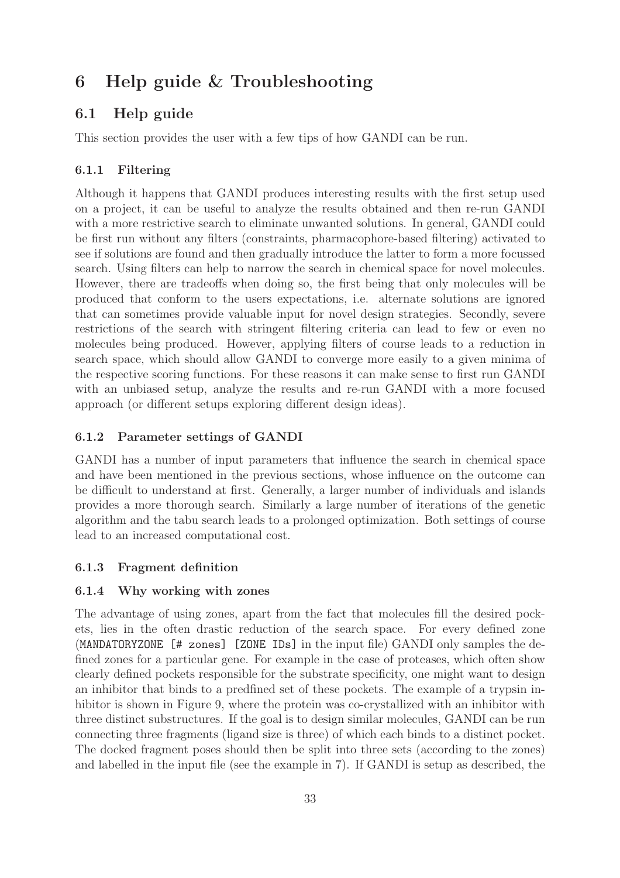# 6 Help guide & Troubleshooting

# 6.1 Help guide

This section provides the user with a few tips of how GANDI can be run.

## 6.1.1 Filtering

Although it happens that GANDI produces interesting results with the first setup used on a project, it can be useful to analyze the results obtained and then re-run GANDI with a more restrictive search to eliminate unwanted solutions. In general, GANDI could be first run without any filters (constraints, pharmacophore-based filtering) activated to see if solutions are found and then gradually introduce the latter to form a more focussed search. Using filters can help to narrow the search in chemical space for novel molecules. However, there are tradeoffs when doing so, the first being that only molecules will be produced that conform to the users expectations, i.e. alternate solutions are ignored that can sometimes provide valuable input for novel design strategies. Secondly, severe restrictions of the search with stringent filtering criteria can lead to few or even no molecules being produced. However, applying filters of course leads to a reduction in search space, which should allow GANDI to converge more easily to a given minima of the respective scoring functions. For these reasons it can make sense to first run GANDI with an unbiased setup, analyze the results and re-run GANDI with a more focused approach (or different setups exploring different design ideas).

## 6.1.2 Parameter settings of GANDI

GANDI has a number of input parameters that influence the search in chemical space and have been mentioned in the previous sections, whose influence on the outcome can be difficult to understand at first. Generally, a larger number of individuals and islands provides a more thorough search. Similarly a large number of iterations of the genetic algorithm and the tabu search leads to a prolonged optimization. Both settings of course lead to an increased computational cost.

## 6.1.3 Fragment definition

#### 6.1.4 Why working with zones

The advantage of using zones, apart from the fact that molecules fill the desired pockets, lies in the often drastic reduction of the search space. For every defined zone (MANDATORYZONE [# zones] [ZONE IDs] in the input file) GANDI only samples the defined zones for a particular gene. For example in the case of proteases, which often show clearly defined pockets responsible for the substrate specificity, one might want to design an inhibitor that binds to a predfined set of these pockets. The example of a trypsin inhibitor is shown in Figure 9, where the protein was co-crystallized with an inhibitor with three distinct substructures. If the goal is to design similar molecules, GANDI can be run connecting three fragments (ligand size is three) of which each binds to a distinct pocket. The docked fragment poses should then be split into three sets (according to the zones) and labelled in the input file (see the example in 7). If GANDI is setup as described, the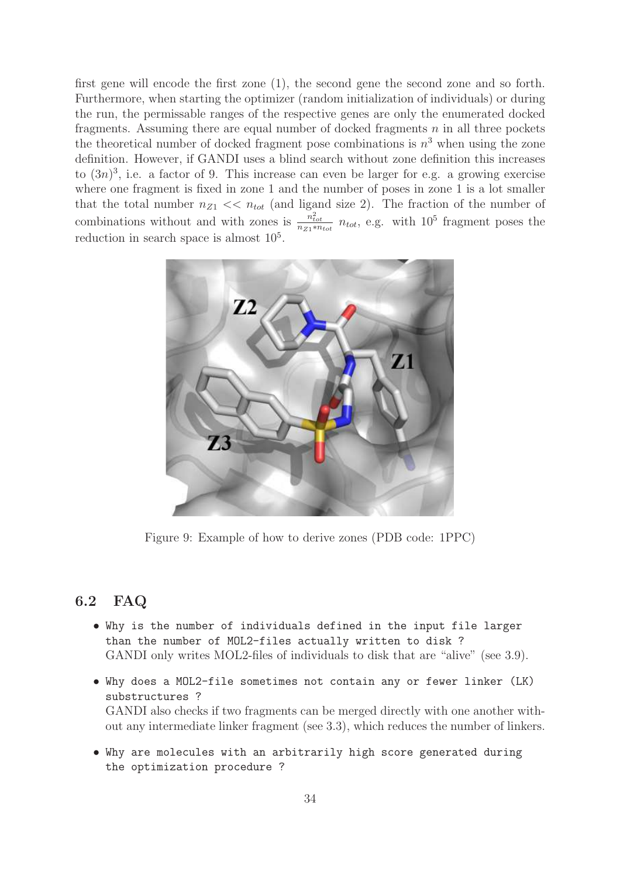first gene will encode the first zone (1), the second gene the second zone and so forth. Furthermore, when starting the optimizer (random initialization of individuals) or during the run, the permissable ranges of the respective genes are only the enumerated docked fragments. Assuming there are equal number of docked fragments  $n$  in all three pockets the theoretical number of docked fragment pose combinations is  $n^3$  when using the zone definition. However, if GANDI uses a blind search without zone definition this increases to  $(3n)^3$ , i.e. a factor of 9. This increase can even be larger for e.g. a growing exercise where one fragment is fixed in zone 1 and the number of poses in zone 1 is a lot smaller that the total number  $n_{Z1} \ll n_{tot}$  (and ligand size 2). The fraction of the number of combinations without and with zones is  $\frac{n_{tot}^2}{n_{Z1}*n_{tot}}$   $n_{tot}$ , e.g. with 10<sup>5</sup> fragment poses the reduction in search space is almost  $10<sup>5</sup>$ .



Figure 9: Example of how to derive zones (PDB code: 1PPC)

## 6.2 FAQ

- Why is the number of individuals defined in the input file larger than the number of MOL2-files actually written to disk ? GANDI only writes MOL2-files of individuals to disk that are "alive" (see 3.9).
- Why does a MOL2-file sometimes not contain any or fewer linker (LK) substructures ? GANDI also checks if two fragments can be merged directly with one another without any intermediate linker fragment (see 3.3), which reduces the number of linkers.
- Why are molecules with an arbitrarily high score generated during the optimization procedure ?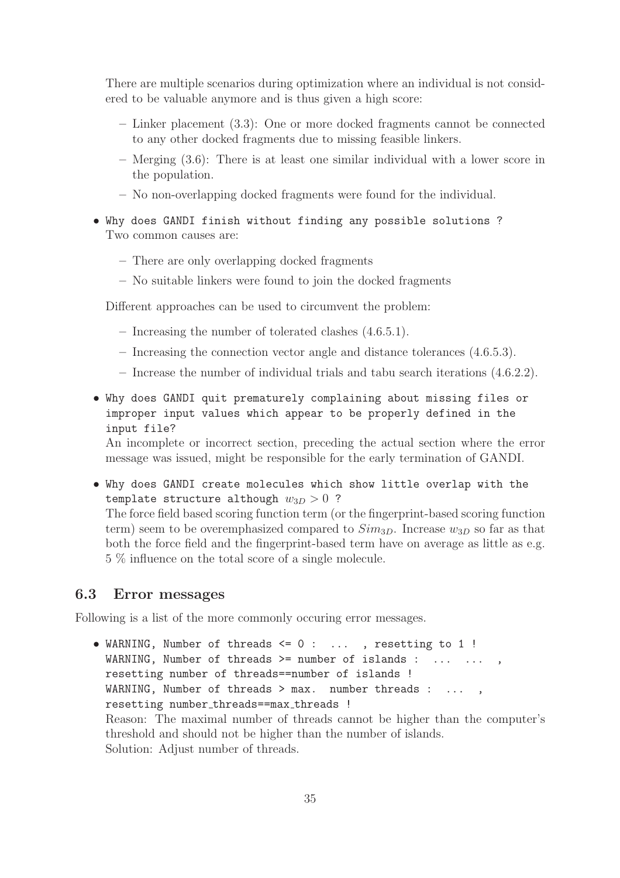There are multiple scenarios during optimization where an individual is not considered to be valuable anymore and is thus given a high score:

- Linker placement (3.3): One or more docked fragments cannot be connected to any other docked fragments due to missing feasible linkers.
- Merging (3.6): There is at least one similar individual with a lower score in the population.
- No non-overlapping docked fragments were found for the individual.
- Why does GANDI finish without finding any possible solutions ? Two common causes are:
	- There are only overlapping docked fragments
	- No suitable linkers were found to join the docked fragments

Different approaches can be used to circumvent the problem:

- Increasing the number of tolerated clashes (4.6.5.1).
- Increasing the connection vector angle and distance tolerances (4.6.5.3).
- Increase the number of individual trials and tabu search iterations (4.6.2.2).
- Why does GANDI quit prematurely complaining about missing files or improper input values which appear to be properly defined in the input file?

An incomplete or incorrect section, preceding the actual section where the error message was issued, might be responsible for the early termination of GANDI.

• Why does GANDI create molecules which show little overlap with the template structure although  $w_{3D} > 0$  ? The force field based scoring function term (or the fingerprint-based scoring function term) seem to be overemphasized compared to  $Sim_{3D}$ . Increase  $w_{3D}$  so far as that both the force field and the fingerprint-based term have on average as little as e.g. 5 % influence on the total score of a single molecule.

#### 6.3 Error messages

Following is a list of the more commonly occuring error messages.

• WARNING, Number of threads <= 0 : ... , resetting to 1 ! WARNING, Number of threads >= number of islands : ... ... , resetting number of threads==number of islands ! WARNING, Number of threads > max. number threads : ..., resetting number threads==max threads !

Reason: The maximal number of threads cannot be higher than the computer's threshold and should not be higher than the number of islands. Solution: Adjust number of threads.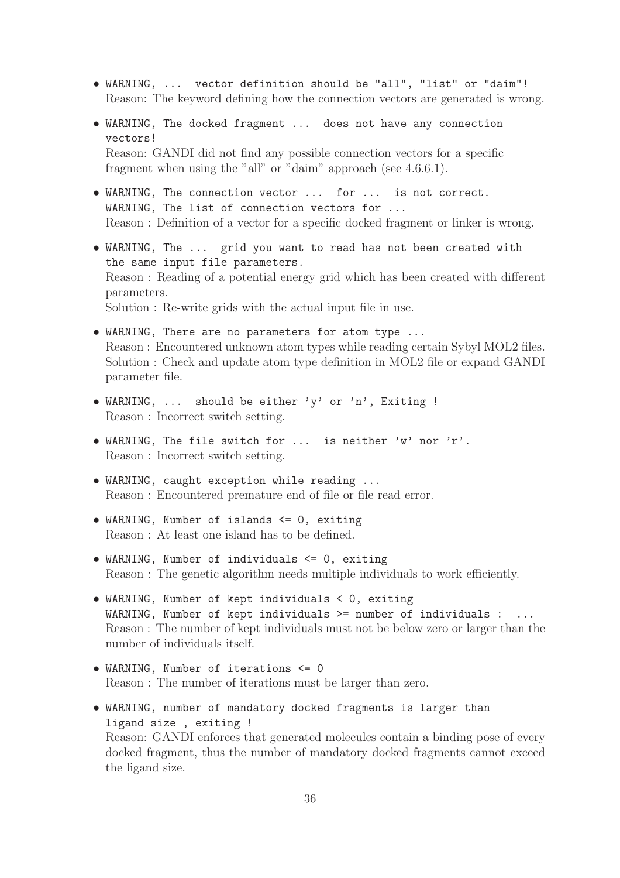- WARNING, ... vector definition should be "all", "list" or "daim"! Reason: The keyword defining how the connection vectors are generated is wrong.
- WARNING, The docked fragment ... does not have any connection vectors! Reason: GANDI did not find any possible connection vectors for a specific fragment when using the "all" or "daim" approach (see 4.6.6.1).
- WARNING, The connection vector ... for ... is not correct. WARNING, The list of connection vectors for ... Reason : Definition of a vector for a specific docked fragment or linker is wrong.
- WARNING, The ... grid you want to read has not been created with the same input file parameters. Reason : Reading of a potential energy grid which has been created with different parameters. Solution : Re-write grids with the actual input file in use.
- WARNING, There are no parameters for atom type ... Reason : Encountered unknown atom types while reading certain Sybyl MOL2 files. Solution : Check and update atom type definition in MOL2 file or expand GANDI parameter file.
- WARNING, ... should be either 'y' or 'n', Exiting ! Reason : Incorrect switch setting.
- WARNING, The file switch for ... is neither 'w' nor 'r'. Reason : Incorrect switch setting.
- WARNING, caught exception while reading ... Reason : Encountered premature end of file or file read error.
- WARNING, Number of islands <= 0, exiting Reason : At least one island has to be defined.
- WARNING, Number of individuals <= 0, exiting Reason : The genetic algorithm needs multiple individuals to work efficiently.
- WARNING, Number of kept individuals < 0, exiting WARNING, Number of kept individuals  $>=$  number of individuals : ... Reason : The number of kept individuals must not be below zero or larger than the number of individuals itself.
- WARNING, Number of iterations <= 0 Reason : The number of iterations must be larger than zero.
- WARNING, number of mandatory docked fragments is larger than ligand size , exiting ! Reason: GANDI enforces that generated molecules contain a binding pose of every docked fragment, thus the number of mandatory docked fragments cannot exceed the ligand size.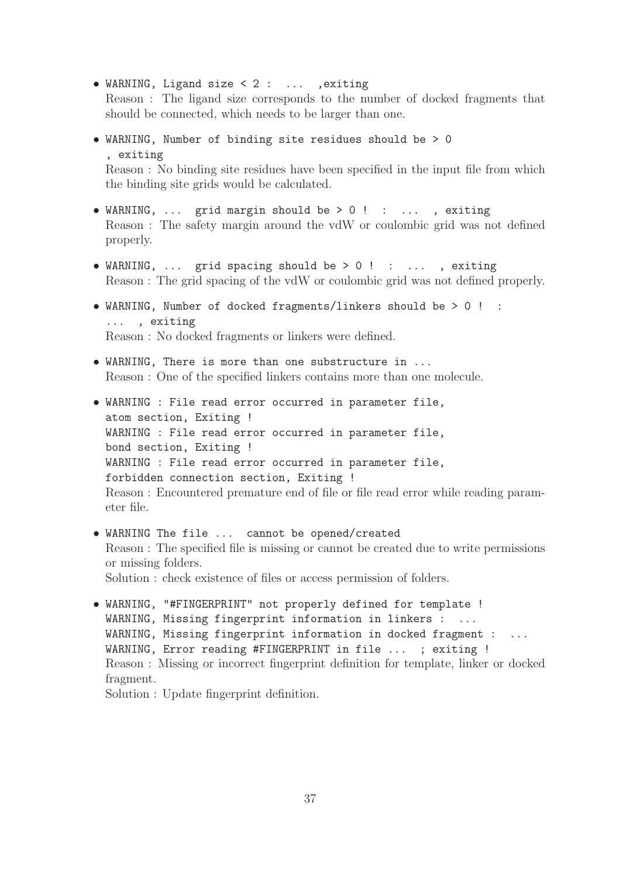• WARNING, Ligand size < 2 : ... ,exiting

Reason : The ligand size corresponds to the number of docked fragments that should be connected, which needs to be larger than one.

• WARNING, Number of binding site residues should be > 0 , exiting Reason : No binding site residues have been specified in the input file from which

the binding site grids would be calculated.

- WARNING, ... grid margin should be > 0 ! : ... , exiting Reason : The safety margin around the vdW or coulombic grid was not defined properly.
- WARNING, ... grid spacing should be > 0 ! : ... , exiting Reason : The grid spacing of the vdW or coulombic grid was not defined properly.
- WARNING, Number of docked fragments/linkers should be > 0 ! : ... , exiting Reason : No docked fragments or linkers were defined.
- WARNING, There is more than one substructure in ... Reason : One of the specified linkers contains more than one molecule.
- WARNING : File read error occurred in parameter file, atom section, Exiting ! WARNING : File read error occurred in parameter file, bond section, Exiting ! WARNING : File read error occurred in parameter file, forbidden connection section, Exiting ! Reason : Encountered premature end of file or file read error while reading parameter file.
- WARNING The file ... cannot be opened/created Reason : The specified file is missing or cannot be created due to write permissions or missing folders. Solution : check existence of files or access permission of folders.
- WARNING, "#FINGERPRINT" not properly defined for template ! WARNING, Missing fingerprint information in linkers : ... WARNING, Missing fingerprint information in docked fragment : ... WARNING, Error reading #FINGERPRINT in file ... ; exiting ! Reason : Missing or incorrect fingerprint definition for template, linker or docked fragment.

Solution : Update fingerprint definition.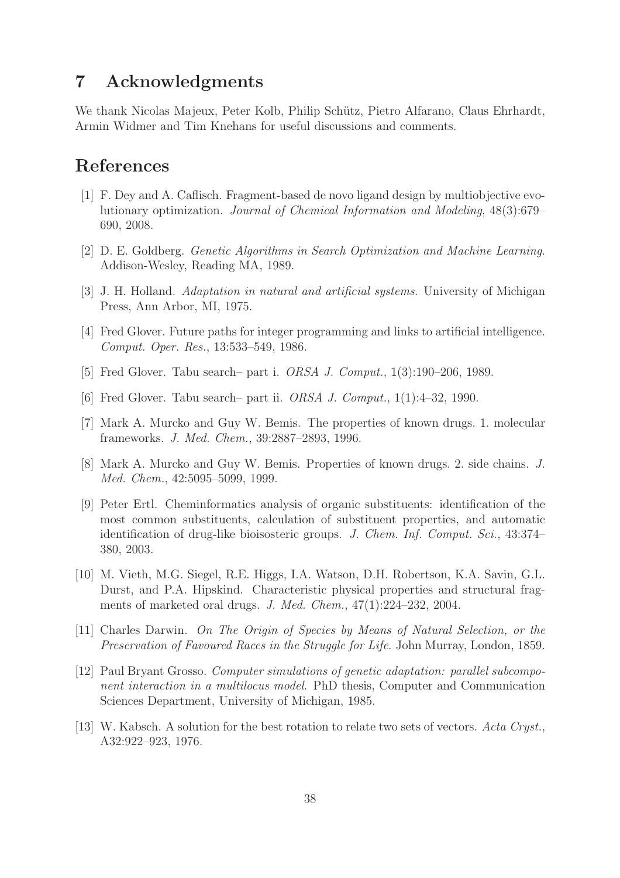# 7 Acknowledgments

We thank Nicolas Majeux, Peter Kolb, Philip Schütz, Pietro Alfarano, Claus Ehrhardt, Armin Widmer and Tim Knehans for useful discussions and comments.

# References

- [1] F. Dey and A. Caflisch. Fragment-based de novo ligand design by multiobjective evolutionary optimization. Journal of Chemical Information and Modeling, 48(3):679– 690, 2008.
- [2] D. E. Goldberg. Genetic Algorithms in Search Optimization and Machine Learning. Addison-Wesley, Reading MA, 1989.
- [3] J. H. Holland. Adaptation in natural and artificial systems. University of Michigan Press, Ann Arbor, MI, 1975.
- [4] Fred Glover. Future paths for integer programming and links to artificial intelligence. Comput. Oper. Res., 13:533–549, 1986.
- [5] Fred Glover. Tabu search– part i. *ORSA J. Comput.*, 1(3):190–206, 1989.
- [6] Fred Glover. Tabu search– part ii. ORSA J. Comput., 1(1):4–32, 1990.
- [7] Mark A. Murcko and Guy W. Bemis. The properties of known drugs. 1. molecular frameworks. J. Med. Chem., 39:2887–2893, 1996.
- [8] Mark A. Murcko and Guy W. Bemis. Properties of known drugs. 2. side chains. J. Med. Chem., 42:5095–5099, 1999.
- [9] Peter Ertl. Cheminformatics analysis of organic substituents: identification of the most common substituents, calculation of substituent properties, and automatic identification of drug-like bioisosteric groups. J. Chem. Inf. Comput. Sci., 43:374– 380, 2003.
- [10] M. Vieth, M.G. Siegel, R.E. Higgs, I.A. Watson, D.H. Robertson, K.A. Savin, G.L. Durst, and P.A. Hipskind. Characteristic physical properties and structural fragments of marketed oral drugs. J. Med. Chem., 47(1):224–232, 2004.
- [11] Charles Darwin. On The Origin of Species by Means of Natural Selection, or the Preservation of Favoured Races in the Struggle for Life. John Murray, London, 1859.
- [12] Paul Bryant Grosso. Computer simulations of genetic adaptation: parallel subcomponent interaction in a multilocus model. PhD thesis, Computer and Communication Sciences Department, University of Michigan, 1985.
- [13] W. Kabsch. A solution for the best rotation to relate two sets of vectors. Acta Cryst., A32:922–923, 1976.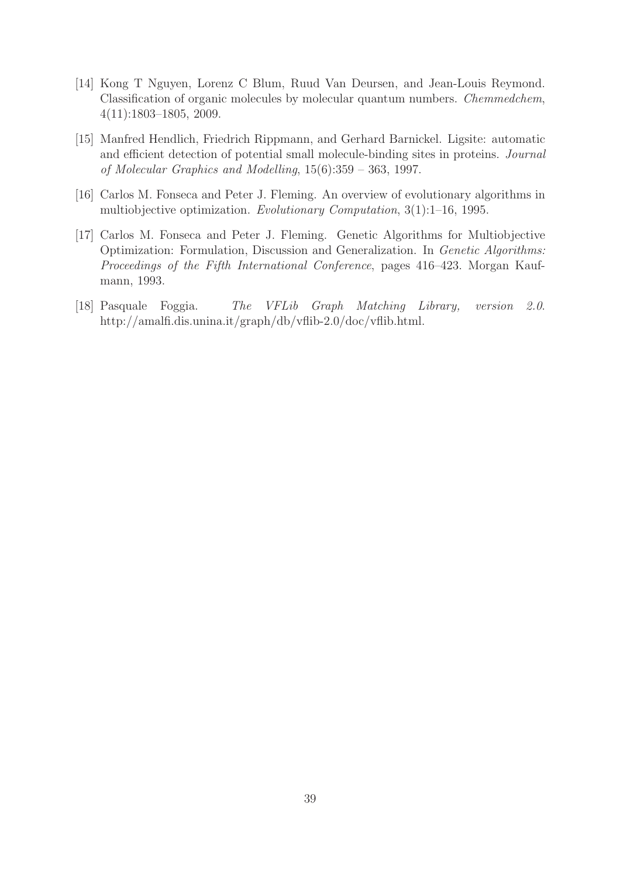- [14] Kong T Nguyen, Lorenz C Blum, Ruud Van Deursen, and Jean-Louis Reymond. Classification of organic molecules by molecular quantum numbers. Chemmedchem, 4(11):1803–1805, 2009.
- [15] Manfred Hendlich, Friedrich Rippmann, and Gerhard Barnickel. Ligsite: automatic and efficient detection of potential small molecule-binding sites in proteins. Journal of Molecular Graphics and Modelling, 15(6):359 – 363, 1997.
- [16] Carlos M. Fonseca and Peter J. Fleming. An overview of evolutionary algorithms in multiobjective optimization. Evolutionary Computation, 3(1):1–16, 1995.
- [17] Carlos M. Fonseca and Peter J. Fleming. Genetic Algorithms for Multiobjective Optimization: Formulation, Discussion and Generalization. In Genetic Algorithms: Proceedings of the Fifth International Conference, pages 416–423. Morgan Kaufmann, 1993.
- [18] Pasquale Foggia. The VFLib Graph Matching Library, version 2.0. http://amalfi.dis.unina.it/graph/db/vflib-2.0/doc/vflib.html.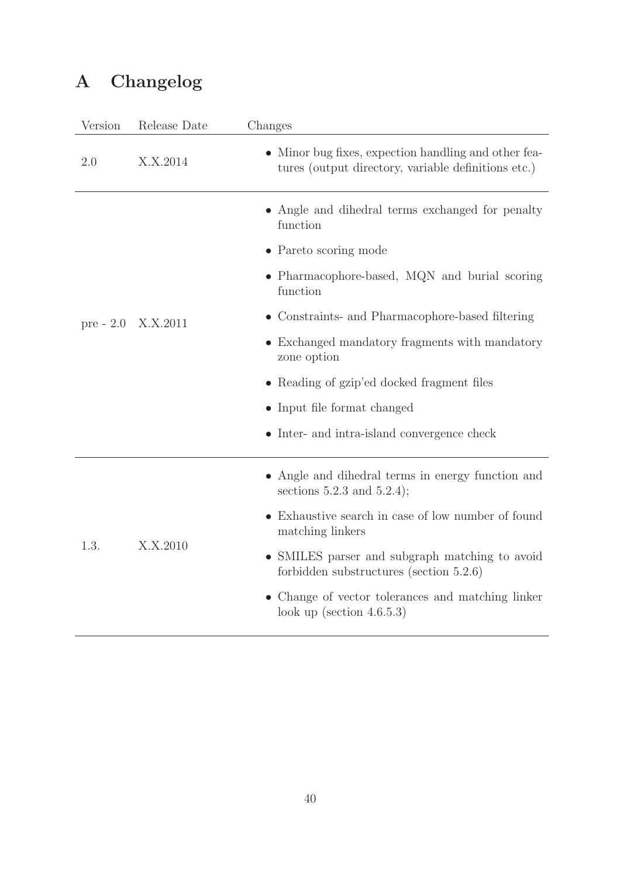# A Changelog

| Version     | Release Date | Changes                                                                                                     |
|-------------|--------------|-------------------------------------------------------------------------------------------------------------|
| 2.0         | X.X.2014     | • Minor bug fixes, expection handling and other fea-<br>tures (output directory, variable definitions etc.) |
|             |              | • Angle and dihedral terms exchanged for penalty<br>function                                                |
|             |              | • Pareto scoring mode                                                                                       |
|             |              | • Pharmacophore-based, MQN and burial scoring<br>function                                                   |
| $pre - 2.0$ | X.X.2011     | • Constraints- and Pharmacophore-based filtering                                                            |
|             |              | • Exchanged mandatory fragments with mandatory<br>zone option                                               |
|             |              | • Reading of gzip'ed docked fragment files                                                                  |
|             |              | • Input file format changed                                                                                 |
|             |              | • Inter- and intra-island convergence check                                                                 |
|             |              | Angle and dihedral terms in energy function and<br>sections $5.2.3$ and $5.2.4$ );                          |
|             |              | Exhaustive search in case of low number of found<br>matching linkers                                        |
| 1.3.        | X.X.2010     | • SMILES parser and subgraph matching to avoid<br>forbidden substructures (section $5.2.6$ )                |
|             |              | • Change of vector tolerances and matching linker<br>look up (section $4.6.5.3$ )                           |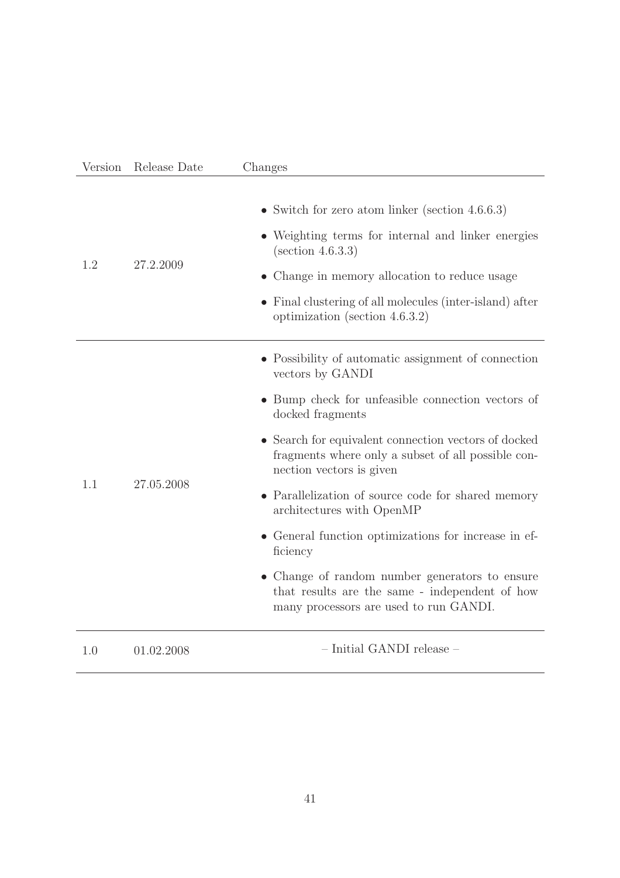| Version | Release Date | Changes                                                                                                                                                                                                                                                                                                                                                                                                                                                                                                                                                                                         |
|---------|--------------|-------------------------------------------------------------------------------------------------------------------------------------------------------------------------------------------------------------------------------------------------------------------------------------------------------------------------------------------------------------------------------------------------------------------------------------------------------------------------------------------------------------------------------------------------------------------------------------------------|
| 1.2     | 27.2.2009    | • Switch for zero atom linker (section $4.6.6.3$ )<br>• Weighting terms for internal and linker energies<br>(section 4.6.3.3)<br>• Change in memory allocation to reduce usage<br>• Final clustering of all molecules (inter-island) after<br>optimization (section $4.6.3.2$ )                                                                                                                                                                                                                                                                                                                 |
| 1.1     | 27.05.2008   | • Possibility of automatic assignment of connection<br>vectors by GANDI<br>• Bump check for unfeasible connection vectors of<br>docked fragments<br>• Search for equivalent connection vectors of docked<br>fragments where only a subset of all possible con-<br>nection vectors is given<br>• Parallelization of source code for shared memory<br>architectures with OpenMP<br>• General function optimizations for increase in ef-<br>ficiency<br>• Change of random number generators to ensure<br>that results are the same - independent of how<br>many processors are used to run GANDI. |
| 1.0     | 01.02.2008   | $-$ Initial GANDI release $-$                                                                                                                                                                                                                                                                                                                                                                                                                                                                                                                                                                   |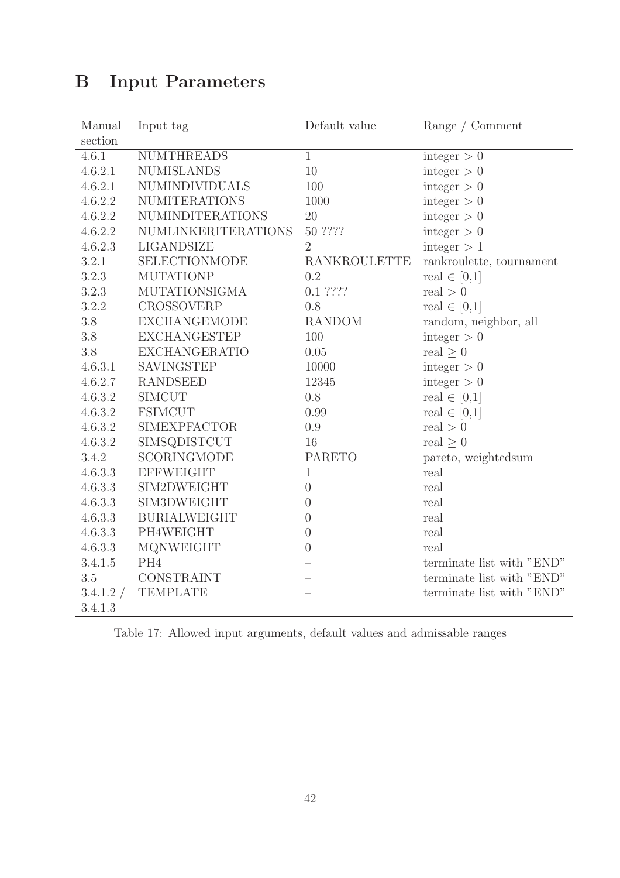# B Input Parameters

| Manual    | Input tag                  | Default value  | Range / Comment           |
|-----------|----------------------------|----------------|---------------------------|
| section   |                            |                |                           |
| 4.6.1     | <b>NUMTHREADS</b>          | $\mathbf{1}$   | integer $> 0$             |
| 4.6.2.1   | <b>NUMISLANDS</b>          | 10             | integer $> 0$             |
| 4.6.2.1   | NUMINDIVIDUALS             | 100            | integer $> 0$             |
| 4.6.2.2   | <b>NUMITERATIONS</b>       | 1000           | integer $> 0$             |
| 4.6.2.2   | <b>NUMINDITERATIONS</b>    | 20             | integer $> 0$             |
| 4.6.2.2   | <b>NUMLINKERITERATIONS</b> | 50 ????        | integer $> 0$             |
| 4.6.2.3   | LIGANDSIZE                 | 2              | integer > 1               |
| 3.2.1     | SELECTIONMODE              | RANKROULETTE   | rankroulette, tournament  |
| 3.2.3     | <b>MUTATIONP</b>           | 0.2            | real $\in [0,1]$          |
| 3.2.3     | <b>MUTATIONSIGMA</b>       | $0.1$ ????     | real $>0$                 |
| 3.2.2     | <b>CROSSOVERP</b>          | 0.8            | real $\in [0,1]$          |
| 3.8       | <b>EXCHANGEMODE</b>        | <b>RANDOM</b>  | random, neighbor, all     |
| 3.8       | <b>EXCHANGESTEP</b>        | 100            | integer $> 0$             |
| 3.8       | <b>EXCHANGERATIO</b>       | $0.05\,$       | real $\geq 0$             |
| 4.6.3.1   | SAVINGSTEP                 | 10000          | integer $> 0$             |
| 4.6.2.7   | <b>RANDSEED</b>            | 12345          | integer > 0               |
| 4.6.3.2   | <b>SIMCUT</b>              | 0.8            | real $\in [0,1]$          |
| 4.6.3.2   | <b>FSIMCUT</b>             | 0.99           | real $\in [0,1]$          |
| 4.6.3.2   | <b>SIMEXPFACTOR</b>        | 0.9            | real $> 0$                |
| 4.6.3.2   | SIMSQDISTCUT               | 16             | real $\geq 0$             |
| 3.4.2     | SCORINGMODE                | <b>PARETO</b>  | pareto, weightedsum       |
| 4.6.3.3   | <b>EFFWEIGHT</b>           | $\mathbf{1}$   | real                      |
| 4.6.3.3   | SIM2DWEIGHT                | $\theta$       | real                      |
| 4.6.3.3   | SIM3DWEIGHT                | $\theta$       | real                      |
| 4.6.3.3   | <b>BURIALWEIGHT</b>        | $\overline{0}$ | real                      |
| 4.6.3.3   | PH4WEIGHT                  | $\theta$       | real                      |
| 4.6.3.3   | MQNWEIGHT                  | $\overline{0}$ | real                      |
| 3.4.1.5   | PH <sub>4</sub>            |                | terminate list with "END" |
| 3.5       | CONSTRAINT                 |                | terminate list with "END" |
| 3.4.1.2 / | <b>TEMPLATE</b>            |                | terminate list with "END" |
| 3.4.1.3   |                            |                |                           |

Table 17: Allowed input arguments, default values and admissable ranges